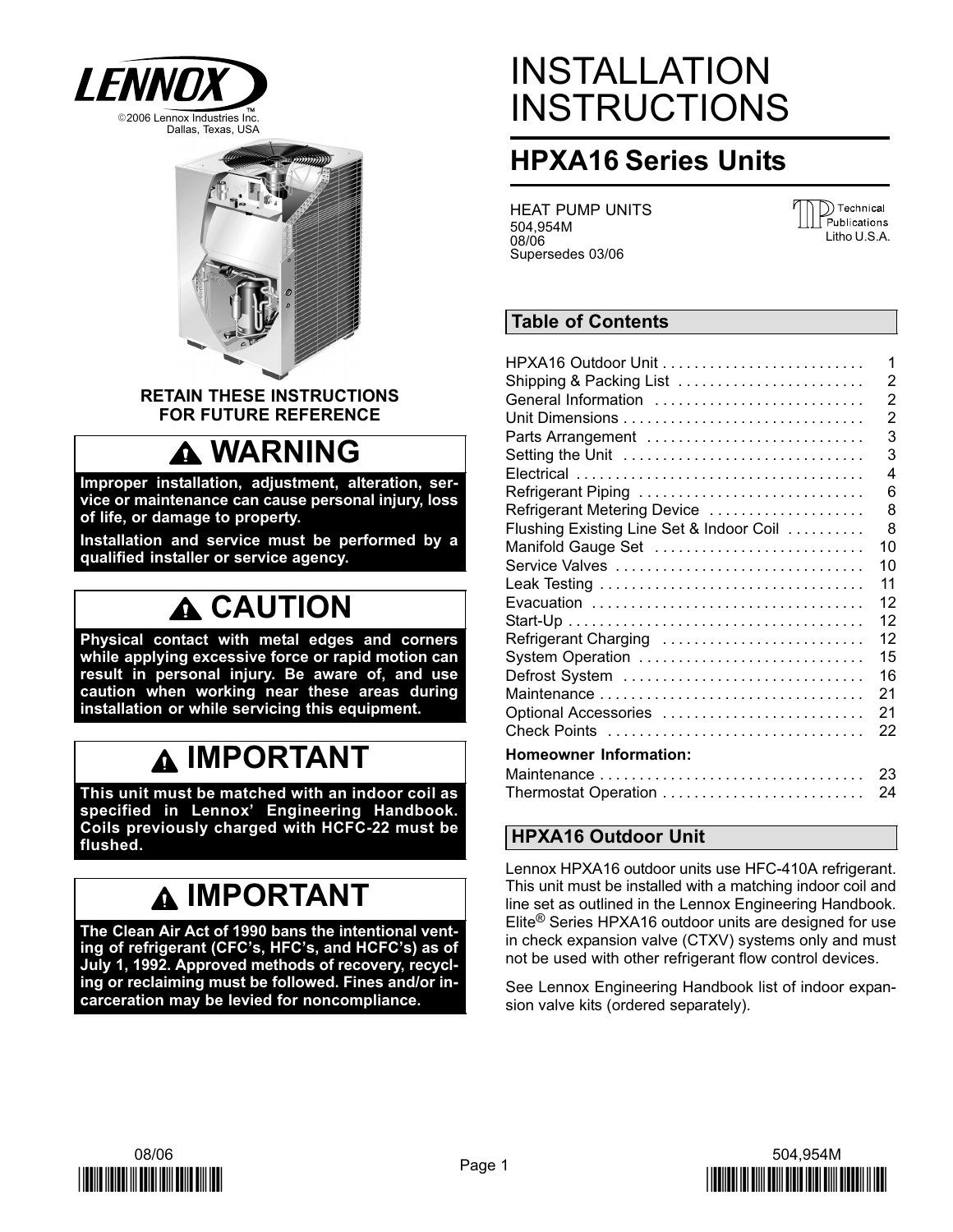



RETAIN THESE INSTRUCTIONS FOR FUTURE REFERENCE

### **A WARNING**

Improper installation, adjustment, alteration, service or maintenance can cause personal injury, loss of life, or damage to property.

Installation and service must be performed by a qualified installer or service agency.

### A CAUTION

Physical contact with metal edges and corners while applying excessive force or rapid motion can result in personal injury. Be aware of, and use caution when working near these areas during installation or while servicing this equipment.

### IMPORTANT

This unit must be matched with an indoor coil as specified in Lennox' Engineering Handbook. Coils previously charged with HCFC−22 must be flushed.

### IMPORTANT

The Clean Air Act of 1990 bans the intentional venting of refrigerant (CFC's, HFC's, and HCFC's) as of July 1, 1992. Approved methods of recovery, recycling or reclaiming must be followed. Fines and/or incarceration may be levied for noncompliance.

## INSTALLATION **INSTRUCTIONS**

### HPXA16 Series Units

HEAT PUMP UNITS 504,954M 08/06 Supersedes 03/06



### Table of Contents

|                                          | 1  |
|------------------------------------------|----|
| Shipping & Packing List                  | 2  |
| General Information                      | 2  |
|                                          | 2  |
| Parts Arrangement                        | 3  |
| Setting the Unit                         | 3  |
|                                          | 4  |
| Refrigerant Piping                       | 6  |
| Refrigerant Metering Device              | 8  |
| Flushing Existing Line Set & Indoor Coil | 8  |
| Manifold Gauge Set                       | 10 |
| Service Valves                           | 10 |
|                                          | 11 |
|                                          | 12 |
|                                          | 12 |
| Refrigerant Charging                     | 12 |
| System Operation                         | 15 |
| Defrost System                           | 16 |
|                                          |    |
|                                          | 21 |
| Optional Accessories                     | 21 |
|                                          | 22 |
| <b>Homeowner Information:</b>            |    |
|                                          | 23 |
| Thermostat Operation                     | 24 |

### HPXA16 Outdoor Unit

Lennox HPXA16 outdoor units use HFC−410A refrigerant. This unit must be installed with a matching indoor coil and line set as outlined in the Lennox Engineering Handbook. Elite® Series HPXA16 outdoor units are designed for use in check expansion valve (CTXV) systems only and must not be used with other refrigerant flow control devices.

See Lennox Engineering Handbook list of indoor expansion valve kits (ordered separately).



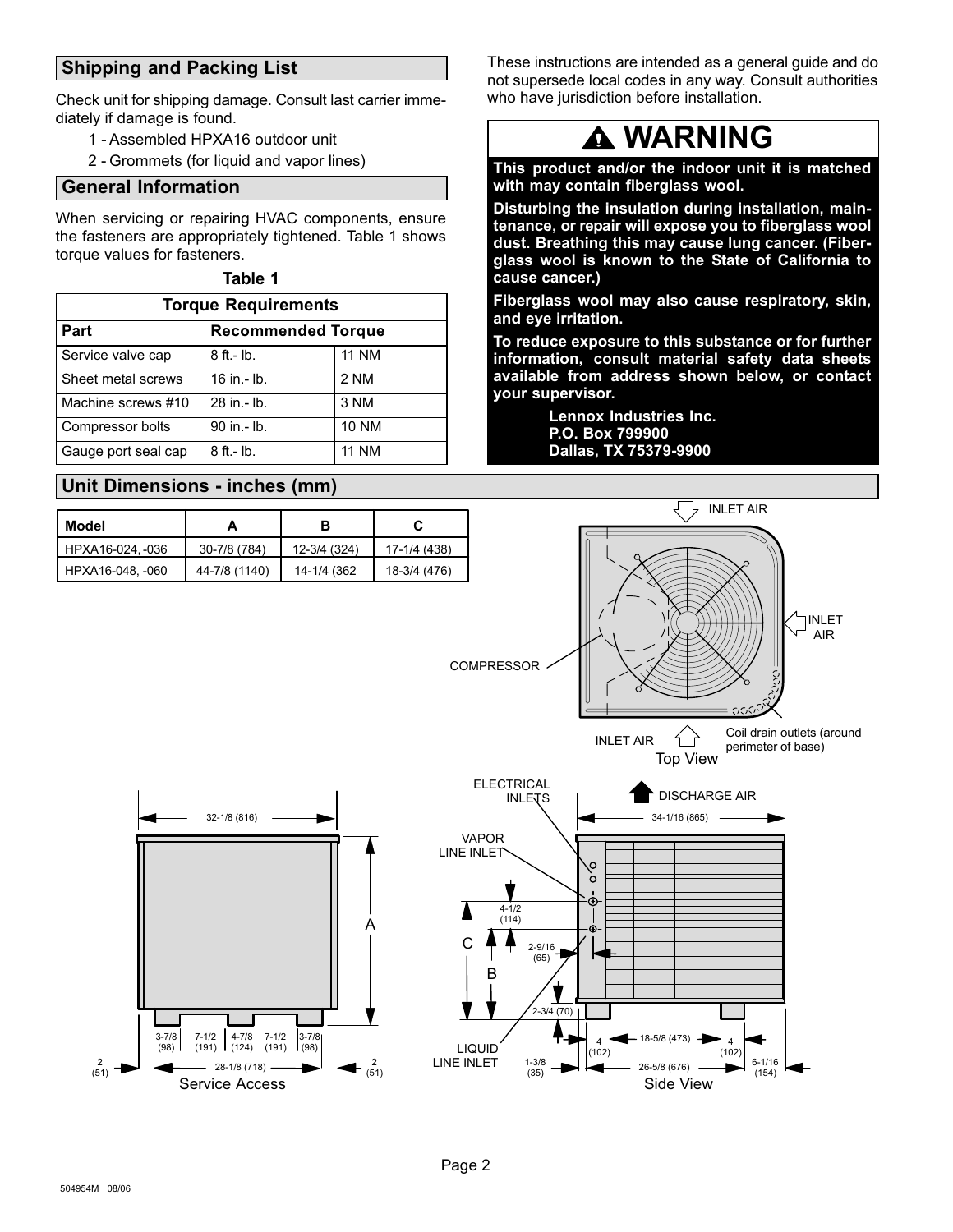### <span id="page-1-0"></span>Shipping and Packing List

Check unit for shipping damage. Consult last carrier immediately if damage is found.

- 1 − Assembled HPXA16 outdoor unit
- 2 − Grommets (for liquid and vapor lines)

### General Information

When servicing or repairing HVAC components, ensure the fasteners are appropriately tightened. Table 1 shows torque values for fasteners.

#### Table 1

| <b>Torque Requirements</b>        |                 |              |  |  |  |  |
|-----------------------------------|-----------------|--------------|--|--|--|--|
| Part<br><b>Recommended Torque</b> |                 |              |  |  |  |  |
| Service valve cap                 | $8$ ft. - lb.   | <b>11 NM</b> |  |  |  |  |
| Sheet metal screws                | $16$ in $-$ lb. | 2 NM         |  |  |  |  |
| Machine screws #10                | 28 in - lb.     | 3 NM         |  |  |  |  |
| Compressor bolts                  | 90 in .- lb.    | <b>10 NM</b> |  |  |  |  |
| Gauge port seal cap               | $8$ ft. - lb.   | 11 NM        |  |  |  |  |

### Unit Dimensions − inches (mm)

| Model            |               | в            | C            |
|------------------|---------------|--------------|--------------|
| HPXA16-024, -036 | 30-7/8 (784)  | 12-3/4 (324) | 17-1/4 (438) |
| HPXA16-048, -060 | 44-7/8 (1140) | 14-1/4 (362) | 18-3/4 (476) |

These instructions are intended as a general guide and do not supersede local codes in any way. Consult authorities who have jurisdiction before installation.

### **A WARNING**

This product and/or the indoor unit it is matched with may contain fiberglass wool.

Disturbing the insulation during installation, maintenance, or repair will expose you to fiberglass wool dust. Breathing this may cause lung cancer. (Fiberglass wool is known to the State of California to cause cancer.)

Fiberglass wool may also cause respiratory, skin, and eye irritation.

To reduce exposure to this substance or for further information, consult material safety data sheets available from address shown below, or contact your supervisor.

> Lennox Industries Inc. P.O. Box 799900 Dallas, TX 75379−9900



2 (51)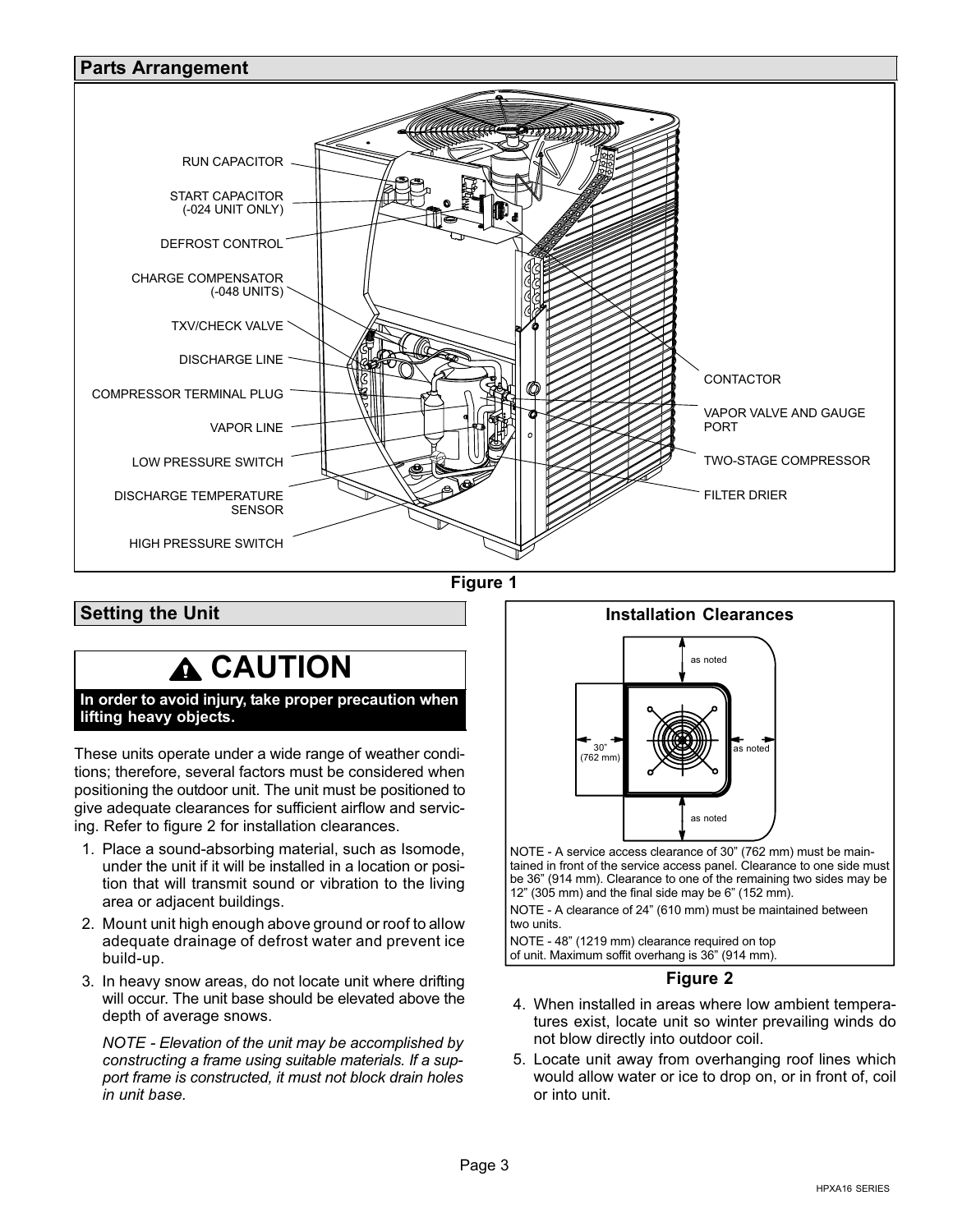<span id="page-2-0"></span>

Figure 1

Setting the Unit

### **A CAUTION**

In order to avoid injury, take proper precaution when lifting heavy objects.

These units operate under a wide range of weather conditions; therefore, several factors must be considered when positioning the outdoor unit. The unit must be positioned to give adequate clearances for sufficient airflow and servicing. Refer to figure 2 for installation clearances.

- 1. Place a sound−absorbing material, such as Isomode, under the unit if it will be installed in a location or position that will transmit sound or vibration to the living area or adjacent buildings.
- 2. Mount unit high enough above ground or roof to allow adequate drainage of defrost water and prevent ice build−up.
- 3. In heavy snow areas, do not locate unit where drifting will occur. The unit base should be elevated above the depth of average snows.

NOTE − Elevation of the unit may be accomplished by constructing a frame using suitable materials. If a support frame is constructed, it must not block drain holes in unit base.



tained in front of the service access panel. Clearance to one side must be 36" (914 mm). Clearance to one of the remaining two sides may be 12" (305 mm) and the final side may be 6" (152 mm).

NOTE − A clearance of 24" (610 mm) must be maintained between two units.

NOTE − 48" (1219 mm) clearance required on top of unit. Maximum soffit overhang is 36" (914 mm).

### Figure 2

- 4. When installed in areas where low ambient temperatures exist, locate unit so winter prevailing winds do not blow directly into outdoor coil.
- 5. Locate unit away from overhanging roof lines which would allow water or ice to drop on, or in front of, coil or into unit.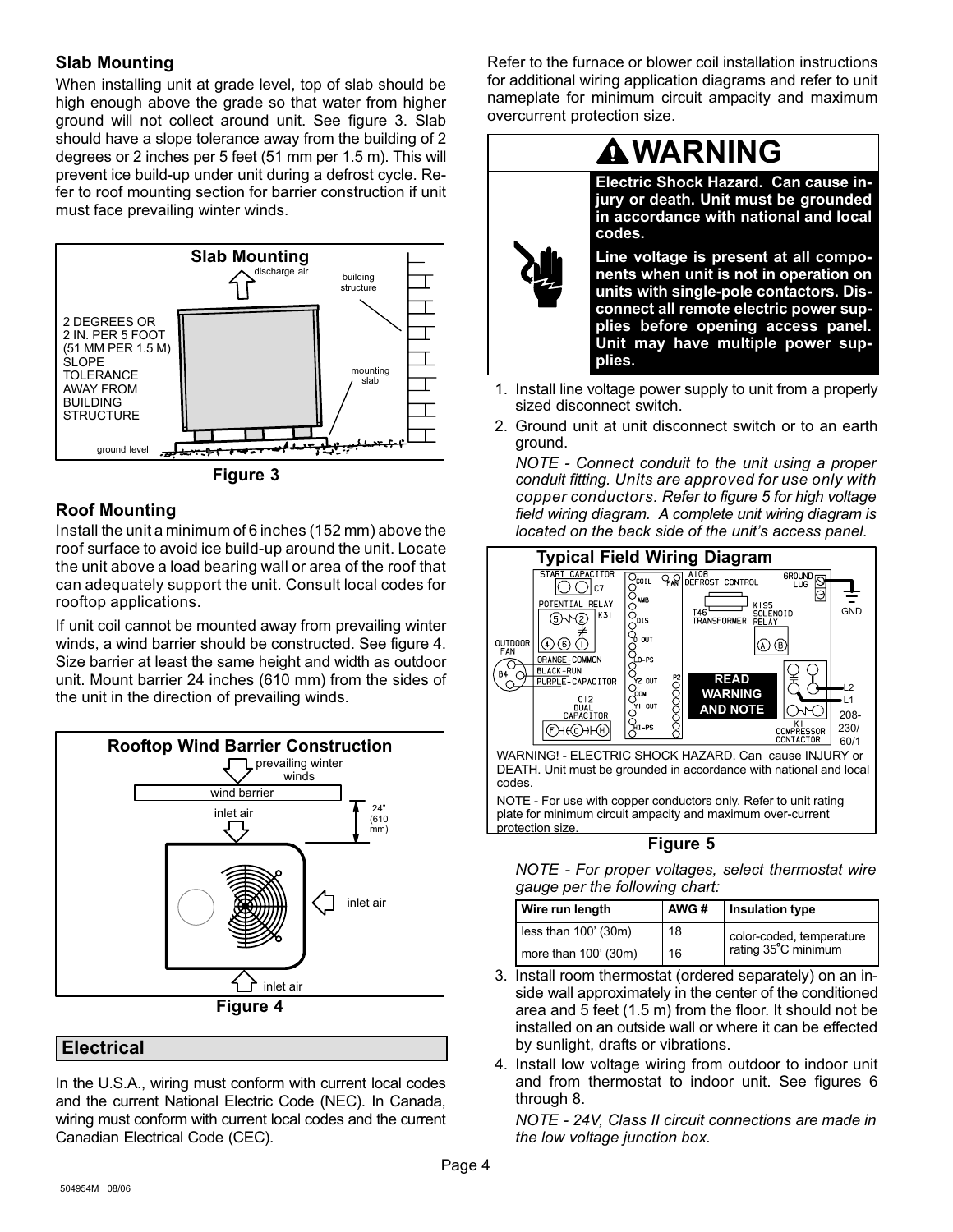### <span id="page-3-0"></span>Slab Mounting

When installing unit at grade level, top of slab should be high enough above the grade so that water from higher ground will not collect around unit. See figure 3. Slab should have a slope tolerance away from the building of 2 degrees or 2 inches per 5 feet (51 mm per 1.5 m). This will prevent ice build−up under unit during a defrost cycle. Refer to roof mounting section for barrier construction if unit must face prevailing winter winds.



Figure 3

### Roof Mounting

Install the unit a minimum of 6 inches (152 mm) above the roof surface to avoid ice build−up around the unit. Locate the unit above a load bearing wall or area of the roof that can adequately support the unit. Consult local codes for rooftop applications.

If unit coil cannot be mounted away from prevailing winter winds, a wind barrier should be constructed. See figure 4. Size barrier at least the same height and width as outdoor unit. Mount barrier 24 inches (610 mm) from the sides of the unit in the direction of prevailing winds.



### Electrical

In the U.S.A., wiring must conform with current local codes and the current National Electric Code (NEC). In Canada, wiring must conform with current local codes and the current Canadian Electrical Code (CEC).

Refer to the furnace or blower coil installation instructions for additional wiring application diagrams and refer to unit nameplate for minimum circuit ampacity and maximum overcurrent protection size.



- 1. Install line voltage power supply to unit from a properly sized disconnect switch.
- 2. Ground unit at unit disconnect switch or to an earth ground.

NOTE − Connect conduit to the unit using a proper conduit fitting. Units are approved for use only with copper conductors. Refer to figure 5 for high voltage field wiring diagram. A complete unit wiring diagram is located on the back side of the unit's access panel.



Figure 5

NOTE − For proper voltages, select thermostat wire gauge per the following chart:

| Wire run length        | AWG# | Insulation type          |
|------------------------|------|--------------------------|
| less than $100'$ (30m) | 18   | color-coded, temperature |
| more than 100' (30m)   | 16   | rating 35°C minimum      |

- 3. Install room thermostat (ordered separately) on an inside wall approximately in the center of the conditioned area and 5 feet (1.5 m) from the floor. It should not be installed on an outside wall or where it can be effected by sunlight, drafts or vibrations.
- 4. Install low voltage wiring from outdoor to indoor unit and from thermostat to indoor unit. See figures [6](#page-4-0) through [8](#page-4-0).

NOTE − 24V, Class II circuit connections are made in the low voltage junction box.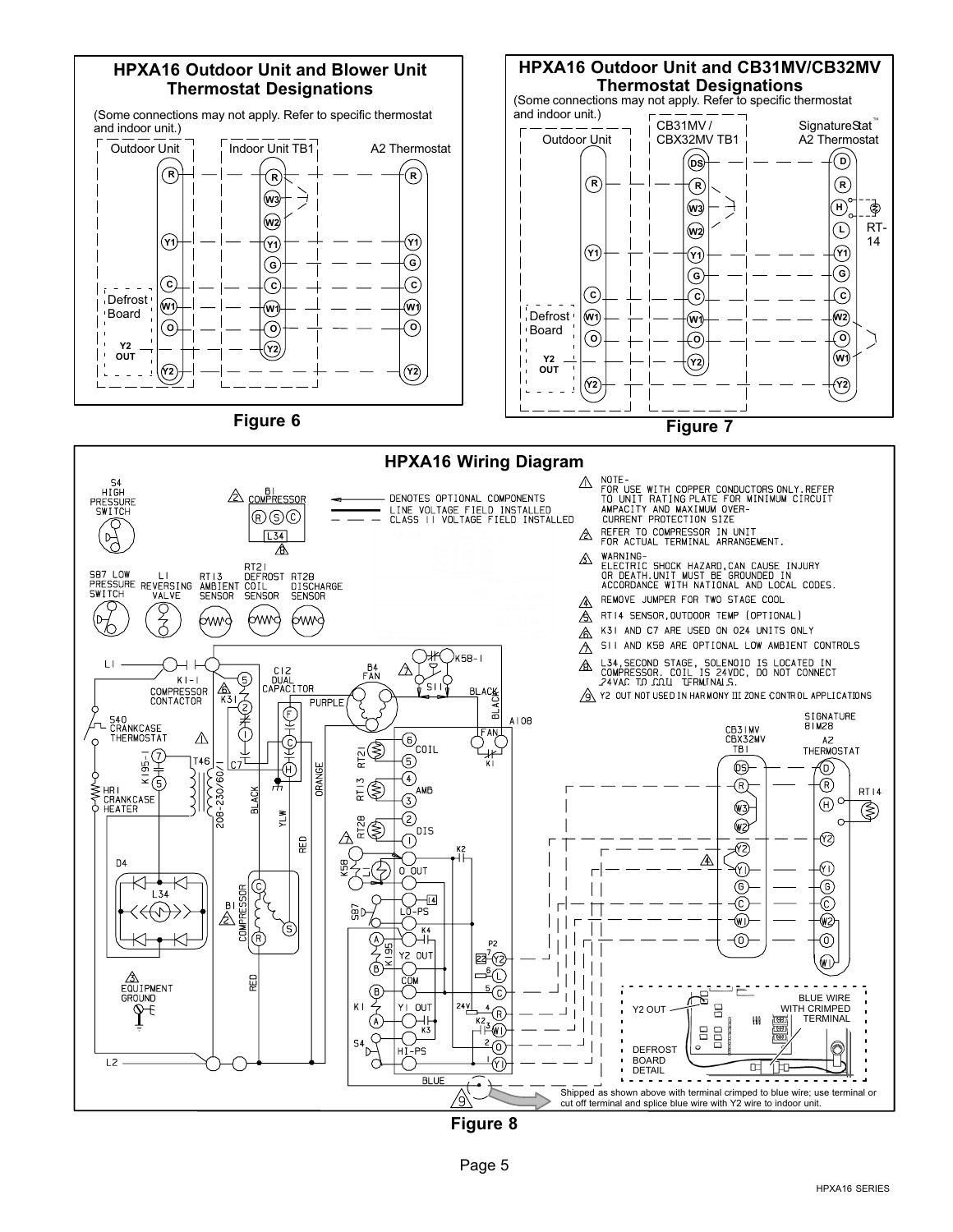<span id="page-4-0"></span>

Figure 8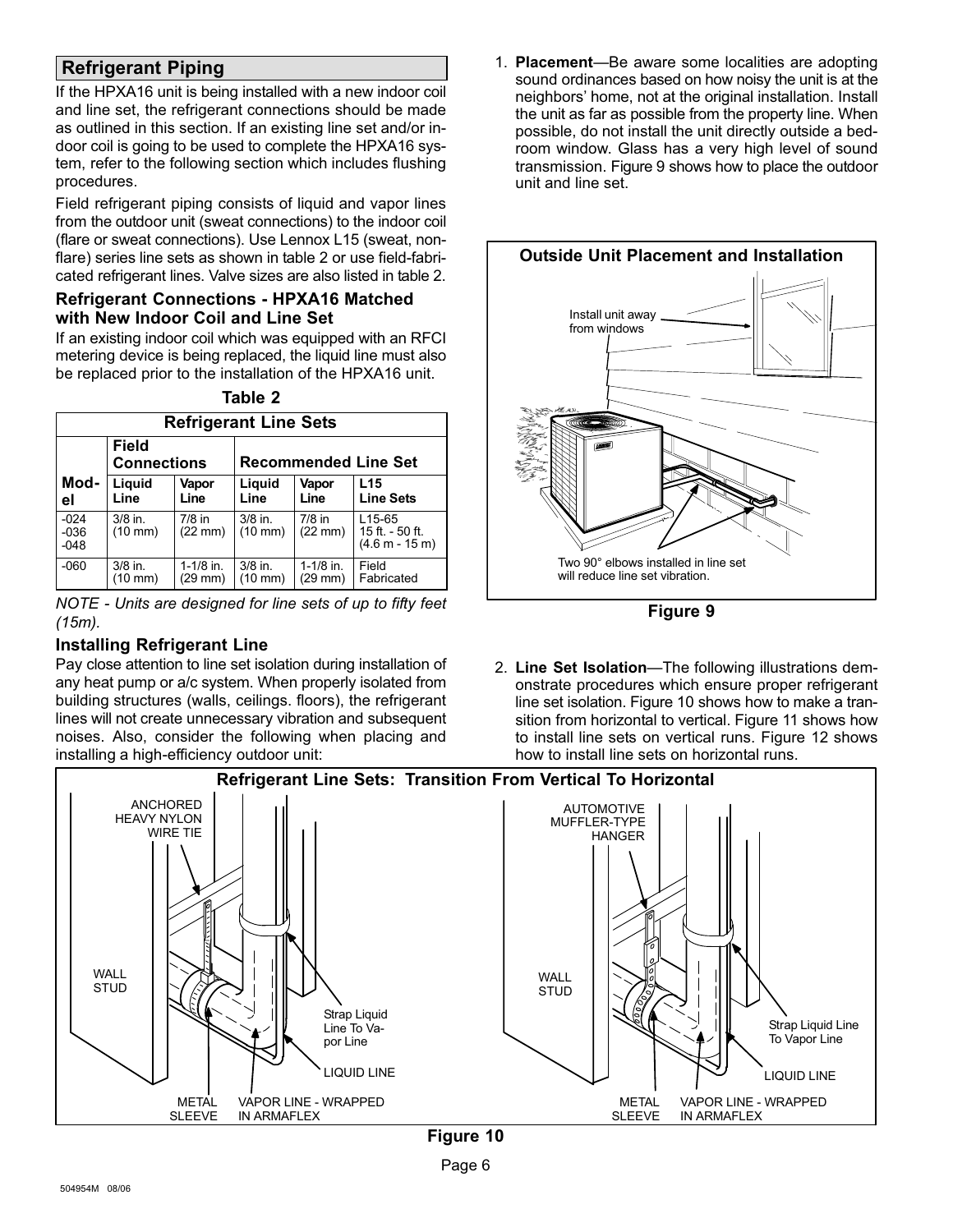### <span id="page-5-0"></span>Refrigerant Piping

If the HPXA16 unit is being installed with a new indoor coil and line set, the refrigerant connections should be made as outlined in this section. If an existing line set and/or indoor coil is going to be used to complete the HPXA16 system, refer to the following section which includes flushing procedures.

Field refrigerant piping consists of liquid and vapor lines from the outdoor unit (sweat connections) to the indoor coil (flare or sweat connections). Use Lennox L15 (sweat, nonflare) series line sets as shown in table 2 or use field-fabricated refrigerant lines. Valve sizes are also listed in table 2.

#### Refrigerant Connections − HPXA16 Matched with New Indoor Coil and Line Set

If an existing indoor coil which was equipped with an RFCI metering device is being replaced, the liquid line must also be replaced prior to the installation of the HPXA16 unit.

Table 2

|                                    | <b>Refrigerant Line Sets</b>   |                               |                                |                               |                                                            |  |  |  |
|------------------------------------|--------------------------------|-------------------------------|--------------------------------|-------------------------------|------------------------------------------------------------|--|--|--|
| <b>Field</b><br><b>Connections</b> |                                |                               |                                |                               | <b>Recommended Line Set</b>                                |  |  |  |
| Mod-<br>el                         | Liquid<br>Line                 | Vapor<br>Line                 | Liquid<br>Line                 | Vapor<br>Line                 | L15<br><b>Line Sets</b>                                    |  |  |  |
| $-024$<br>$-036$<br>$-048$         | $3/8$ in.<br>$(10 \text{ mm})$ | $7/8$ in<br>$(22 \text{ mm})$ | $3/8$ in.<br>$(10 \text{ mm})$ | $7/8$ in<br>$(22 \text{ mm})$ | L <sub>15</sub> -65<br>15 ft. - 50 ft.<br>$(4.6 m - 15 m)$ |  |  |  |
| $-060$                             | $3/8$ in.<br>(10 mm)           | $1-1/8$ in.<br>$(29$ mm $)$   | $3/8$ in.<br>$(10 \text{ mm})$ | $1-1/8$ in.<br>(29 mm)        | Field<br>Fabricated                                        |  |  |  |

NOTE − Units are designed for line sets of up to fifty feet (15m).

### Installing Refrigerant Line

Pay close attention to line set isolation during installation of any heat pump or a/c system. When properly isolated from building structures (walls, ceilings. floors), the refrigerant lines will not create unnecessary vibration and subsequent noises. Also, consider the following when placing and installing a high−efficiency outdoor unit:

1. Placement-Be aware some localities are adopting sound ordinances based on how noisy the unit is at the neighbors' home, not at the original installation. Install the unit as far as possible from the property line. When possible, do not install the unit directly outside a bedroom window. Glass has a very high level of sound transmission. Figure 9 shows how to place the outdoor unit and line set.



Figure 9

2. Line Set Isolation-The following illustrations demonstrate procedures which ensure proper refrigerant line set isolation. Figure 10 shows how to make a transition from horizontal to vertical. Figure [11](#page-6-0) shows how to install line sets on vertical runs. Figure [12](#page-6-0) shows how to install line sets on horizontal runs.

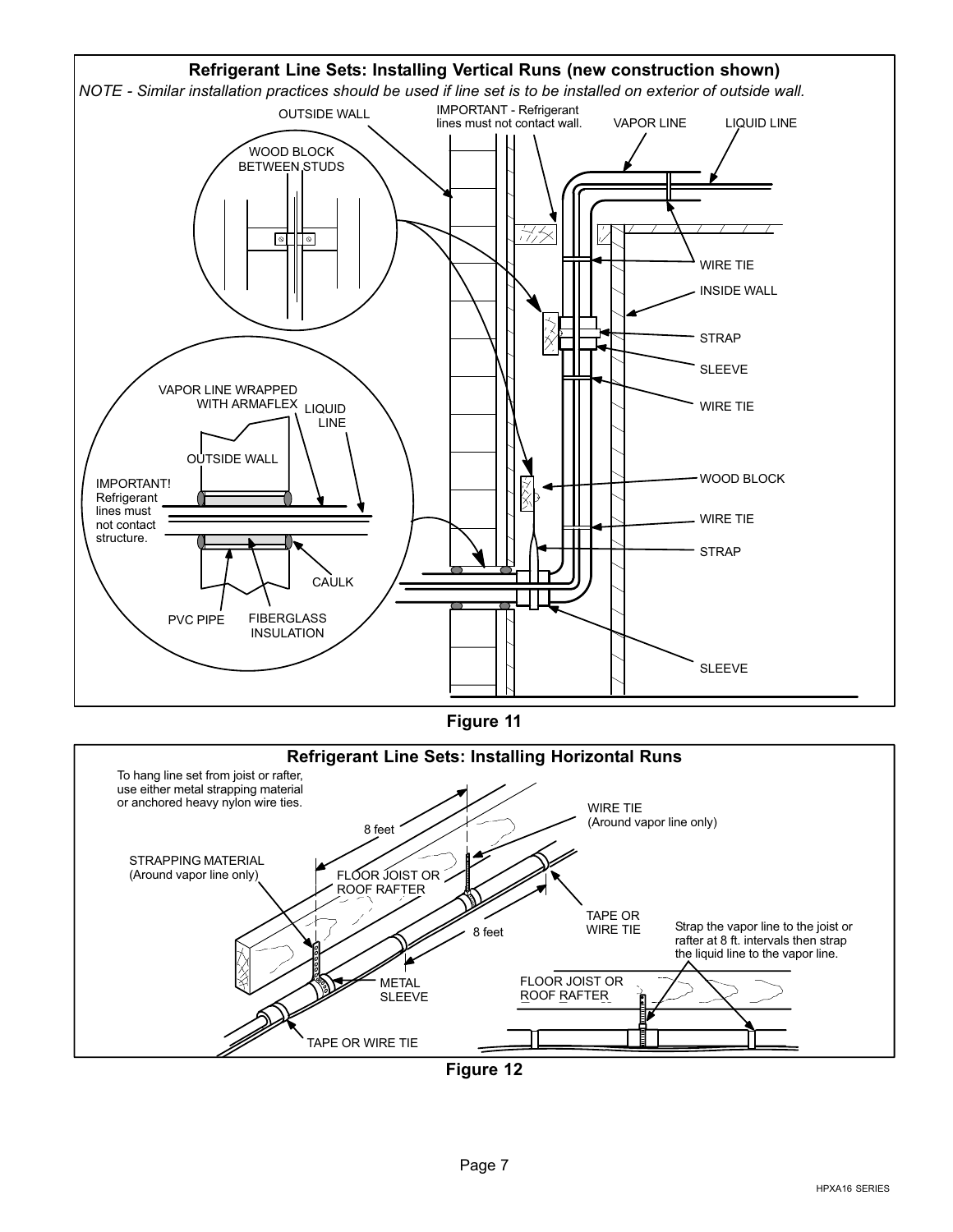<span id="page-6-0"></span>

Figure 12

TAPE OR WIRE TIE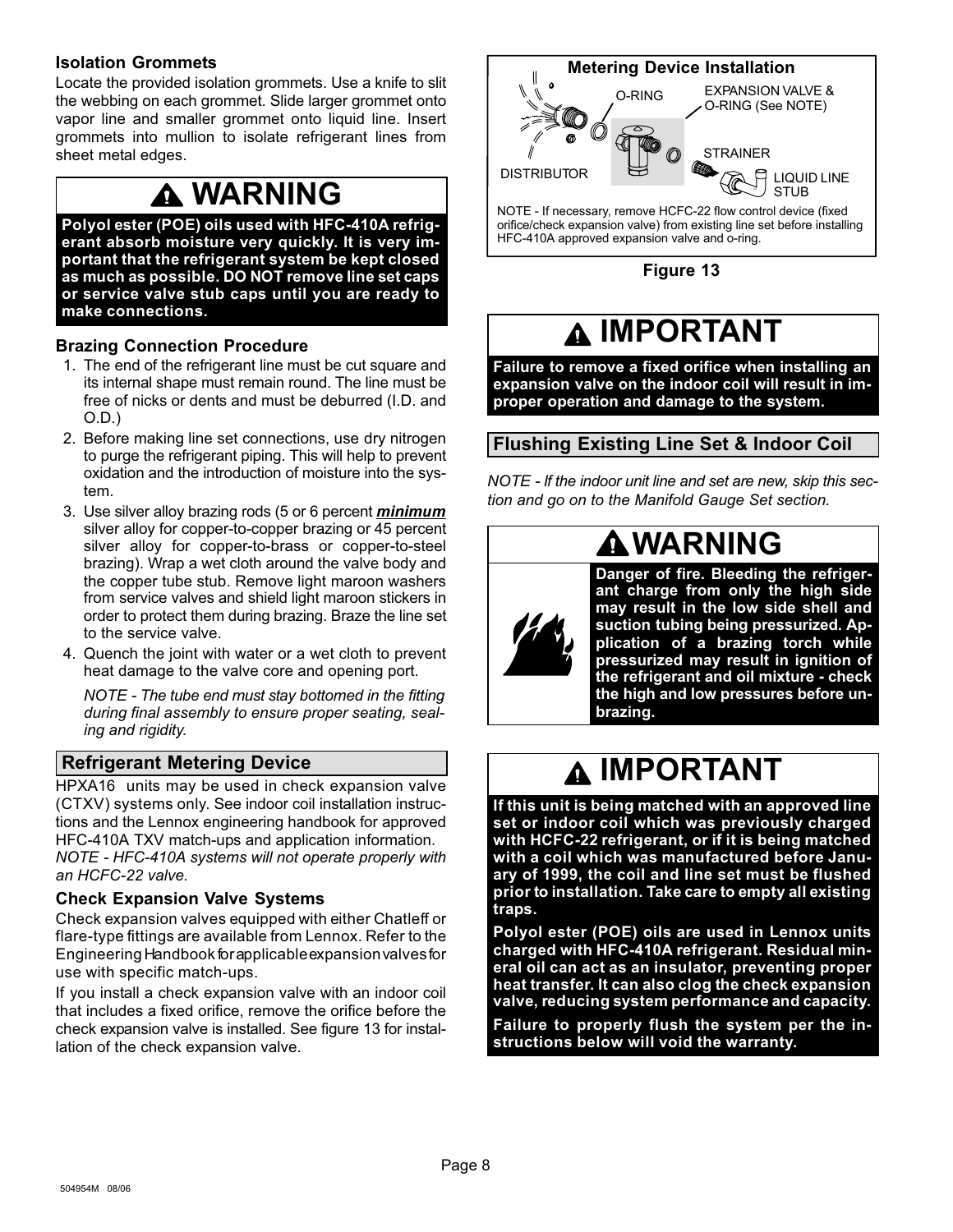### <span id="page-7-0"></span>Isolation Grommets

Locate the provided isolation grommets. Use a knife to slit the webbing on each grommet. Slide larger grommet onto vapor line and smaller grommet onto liquid line. Insert grommets into mullion to isolate refrigerant lines from sheet metal edges.

### WARNING

Polyol ester (POE) oils used with HFC−410A refrigerant absorb moisture very quickly. It is very important that the refrigerant system be kept closed as much as possible. DO NOT remove line set caps or service valve stub caps until you are ready to make connections.

### Brazing Connection Procedure

- 1. The end of the refrigerant line must be cut square and its internal shape must remain round. The line must be free of nicks or dents and must be deburred (I.D. and O.D.)
- 2. Before making line set connections, use dry nitrogen to purge the refrigerant piping. This will help to prevent oxidation and the introduction of moisture into the system.
- 3. Use silver alloy brazing rods (5 or 6 percent *minimum* silver alloy for copper−to−copper brazing or 45 percent silver alloy for copper−to−brass or copper−to−steel brazing). Wrap a wet cloth around the valve body and the copper tube stub. Remove light maroon washers from service valves and shield light maroon stickers in order to protect them during brazing. Braze the line set to the service valve.
- 4. Quench the joint with water or a wet cloth to prevent heat damage to the valve core and opening port.

NOTE − The tube end must stay bottomed in the fitting during final assembly to ensure proper seating, sealing and rigidity.

### Refrigerant Metering Device

HPXA16 units may be used in check expansion valve (CTXV) systems only. See indoor coil installation instructions and the Lennox engineering handbook for approved HFC-410A TXV match-ups and application information. NOTE − HFC−410A systems will not operate properly with an HCFC−22 valve.

#### Check Expansion Valve Systems

Check expansion valves equipped with either Chatleff or flare−type fittings are available from Lennox. Refer to the Engineering Handbook for applicable expansion valves for use with specific match-ups.

If you install a check expansion valve with an indoor coil that includes a fixed orifice, remove the orifice before the check expansion valve is installed. See figure 13 for installation of the check expansion valve.



Figure 13

### IMPORTANT

Failure to remove a fixed orifice when installing an expansion valve on the indoor coil will result in improper operation and damage to the system.

### Flushing Existing Line Set & Indoor Coil

NOTE − If the indoor unit line and set are new, skip this section and go on to the Manifold Gauge Set section.

# **AWARNING**

Danger of fire. Bleeding the refrigerant charge from only the high side may result in the low side shell and suction tubing being pressurized. Application of a brazing torch while pressurized may result in ignition of the refrigerant and oil mixture − check the high and low pressures before unbrazing.

### A IMPORTANT

If this unit is being matched with an approved line set or indoor coil which was previously charged with HCFC−22 refrigerant, or if it is being matched with a coil which was manufactured before January of 1999, the coil and line set must be flushed prior to installation. Take care to empty all existing traps.

Polyol ester (POE) oils are used in Lennox units charged with HFC−410A refrigerant. Residual mineral oil can act as an insulator, preventing proper heat transfer. It can also clog the check expansion valve, reducing system performance and capacity.

Failure to properly flush the system per the instructions below will void the warranty.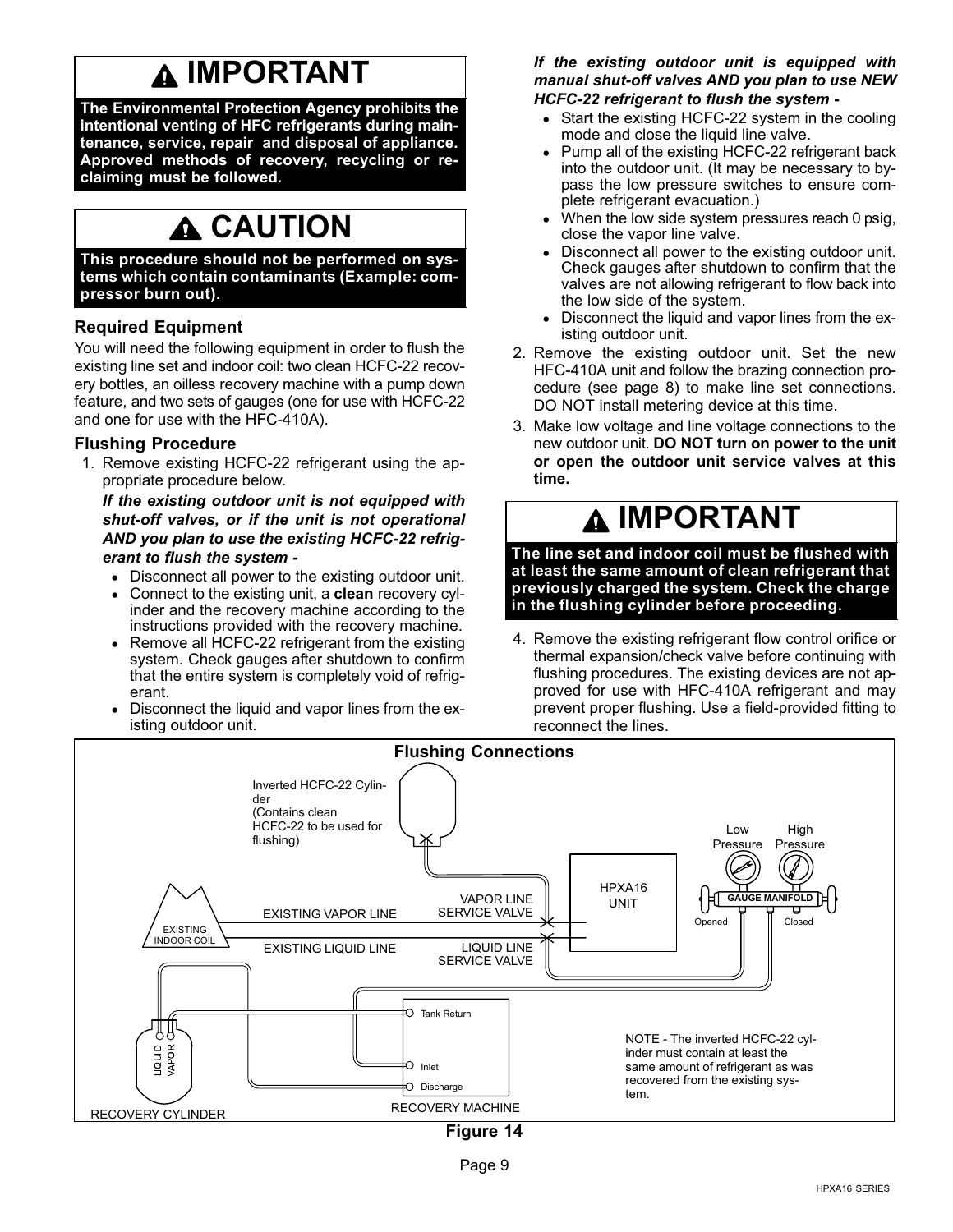### IMPORTANT

The Environmental Protection Agency prohibits the intentional venting of HFC refrigerants during maintenance, service, repair and disposal of appliance. Approved methods of recovery, recycling or reclaiming must be followed.

### **A** CAUTION

This procedure should not be performed on systems which contain contaminants (Example: compressor burn out).

### Required Equipment

You will need the following equipment in order to flush the existing line set and indoor coil: two clean HCFC−22 recovery bottles, an oilless recovery machine with a pump down feature, and two sets of gauges (one for use with HCFC−22 and one for use with the HFC−410A).

#### Flushing Procedure

1. Remove existing HCFC−22 refrigerant using the appropriate procedure below.

If the existing outdoor unit is not equipped with shut−off valves, or if the unit is not operational AND you plan to use the existing HCFC−22 refrigerant to flush the system −

- Disconnect all power to the existing outdoor unit.
- Connect to the existing unit, a clean recovery cylinder and the recovery machine according to the instructions provided with the recovery machine.
- Remove all HCFC-22 refrigerant from the existing system. Check gauges after shutdown to confirm that the entire system is completely void of refrigerant.
- Disconnect the liquid and vapor lines from the existing outdoor unit.

#### If the existing outdoor unit is equipped with manual shut−off valves AND you plan to use NEW HCFC−22 refrigerant to flush the system −

- Start the existing HCFC−22 system in the cooling mode and close the liquid line valve.
- Pump all of the existing HCFC−22 refrigerant back into the outdoor unit. (It may be necessary to bypass the low pressure switches to ensure complete refrigerant evacuation.)
- When the low side system pressures reach 0 psig, close the vapor line valve.
- Disconnect all power to the existing outdoor unit. Check gauges after shutdown to confirm that the valves are not allowing refrigerant to flow back into the low side of the system.
- Disconnect the liquid and vapor lines from the existing outdoor unit.
- 2. Remove the existing outdoor unit. Set the new HFC−410A unit and follow the brazing connection procedure (see page [8](#page-7-0)) to make line set connections. DO NOT install metering device at this time.
- 3. Make low voltage and line voltage connections to the new outdoor unit. DO NOT turn on power to the unit or open the outdoor unit service valves at this time.

### IMPORTANT

The line set and indoor coil must be flushed with at least the same amount of clean refrigerant that previously charged the system. Check the charge in the flushing cylinder before proceeding.

4. Remove the existing refrigerant flow control orifice or thermal expansion/check valve before continuing with flushing procedures. The existing devices are not approved for use with HFC−410A refrigerant and may prevent proper flushing. Use a field−provided fitting to reconnect the lines.

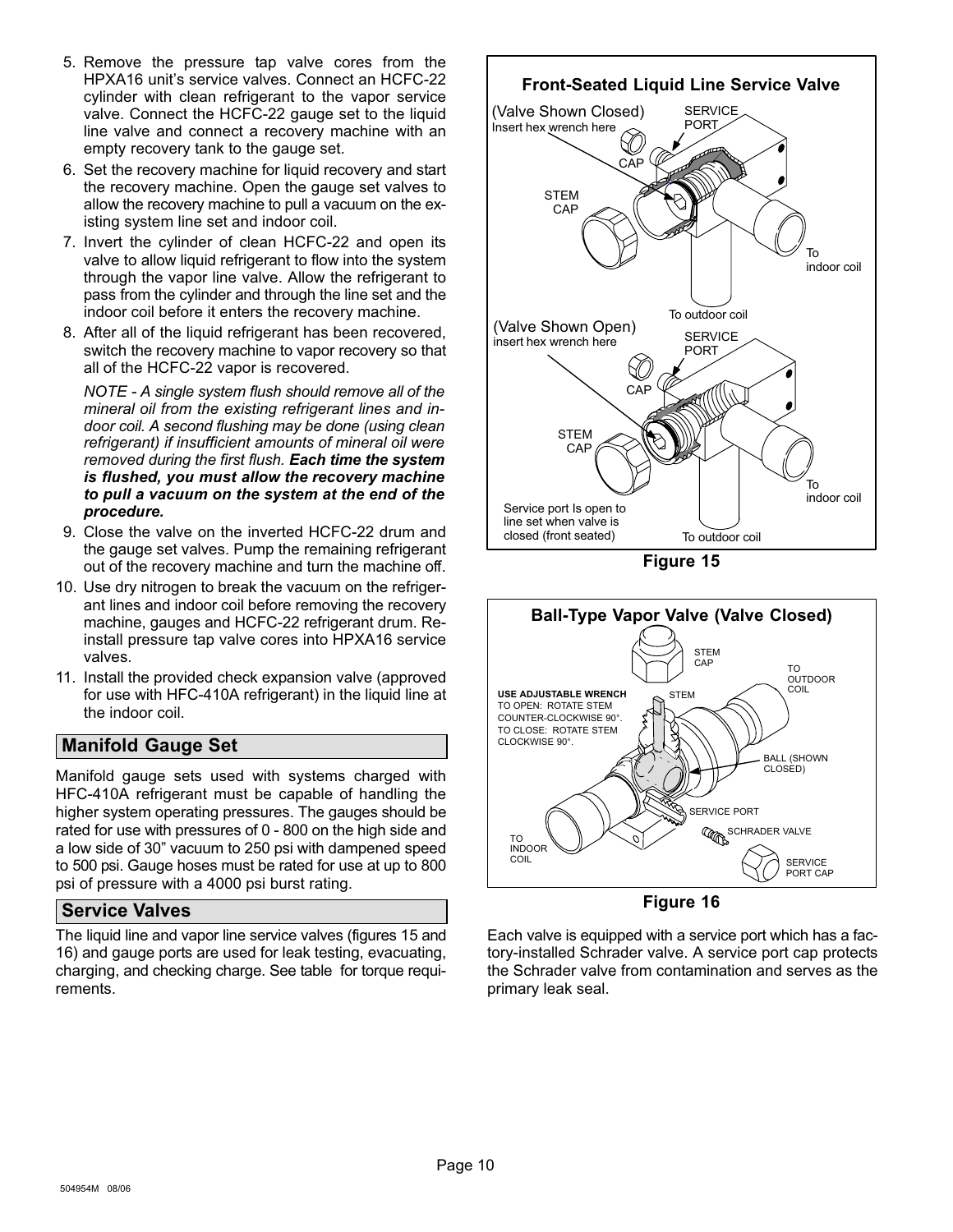- <span id="page-9-0"></span>5. Remove the pressure tap valve cores from the HPXA16 unit's service valves. Connect an HCFC−22 cylinder with clean refrigerant to the vapor service valve. Connect the HCFC−22 gauge set to the liquid line valve and connect a recovery machine with an empty recovery tank to the gauge set.
- 6. Set the recovery machine for liquid recovery and start the recovery machine. Open the gauge set valves to allow the recovery machine to pull a vacuum on the existing system line set and indoor coil.
- 7. Invert the cylinder of clean HCFC−22 and open its valve to allow liquid refrigerant to flow into the system through the vapor line valve. Allow the refrigerant to pass from the cylinder and through the line set and the indoor coil before it enters the recovery machine.
- 8. After all of the liquid refrigerant has been recovered, switch the recovery machine to vapor recovery so that all of the HCFC−22 vapor is recovered.

NOTE − A single system flush should remove all of the mineral oil from the existing refrigerant lines and indoor coil. A second flushing may be done (using clean refrigerant) if insufficient amounts of mineral oil were removed during the first flush. Each time the system is flushed, you must allow the recovery machine to pull a vacuum on the system at the end of the procedure.

- 9. Close the valve on the inverted HCFC-22 drum and the gauge set valves. Pump the remaining refrigerant out of the recovery machine and turn the machine off.
- 10. Use dry nitrogen to break the vacuum on the refrigerant lines and indoor coil before removing the recovery machine, gauges and HCFC−22 refrigerant drum. Reinstall pressure tap valve cores into HPXA16 service valves.
- 11. Install the provided check expansion valve (approved for use with HFC−410A refrigerant) in the liquid line at the indoor coil.

### Manifold Gauge Set

Manifold gauge sets used with systems charged with HFC−410A refrigerant must be capable of handling the higher system operating pressures. The gauges should be rated for use with pressures of 0 − 800 on the high side and a low side of 30" vacuum to 250 psi with dampened speed to 500 psi. Gauge hoses must be rated for use at up to 800 psi of pressure with a 4000 psi burst rating.

#### Service Valves

The liquid line and vapor line service valves (figures 15 and 16) and gauge ports are used for leak testing, evacuating, charging, and checking charge. See table for torque requirements.



Figure 15



Figure 16

Each valve is equipped with a service port which has a factory−installed Schrader valve. A service port cap protects the Schrader valve from contamination and serves as the primary leak seal.

Page 10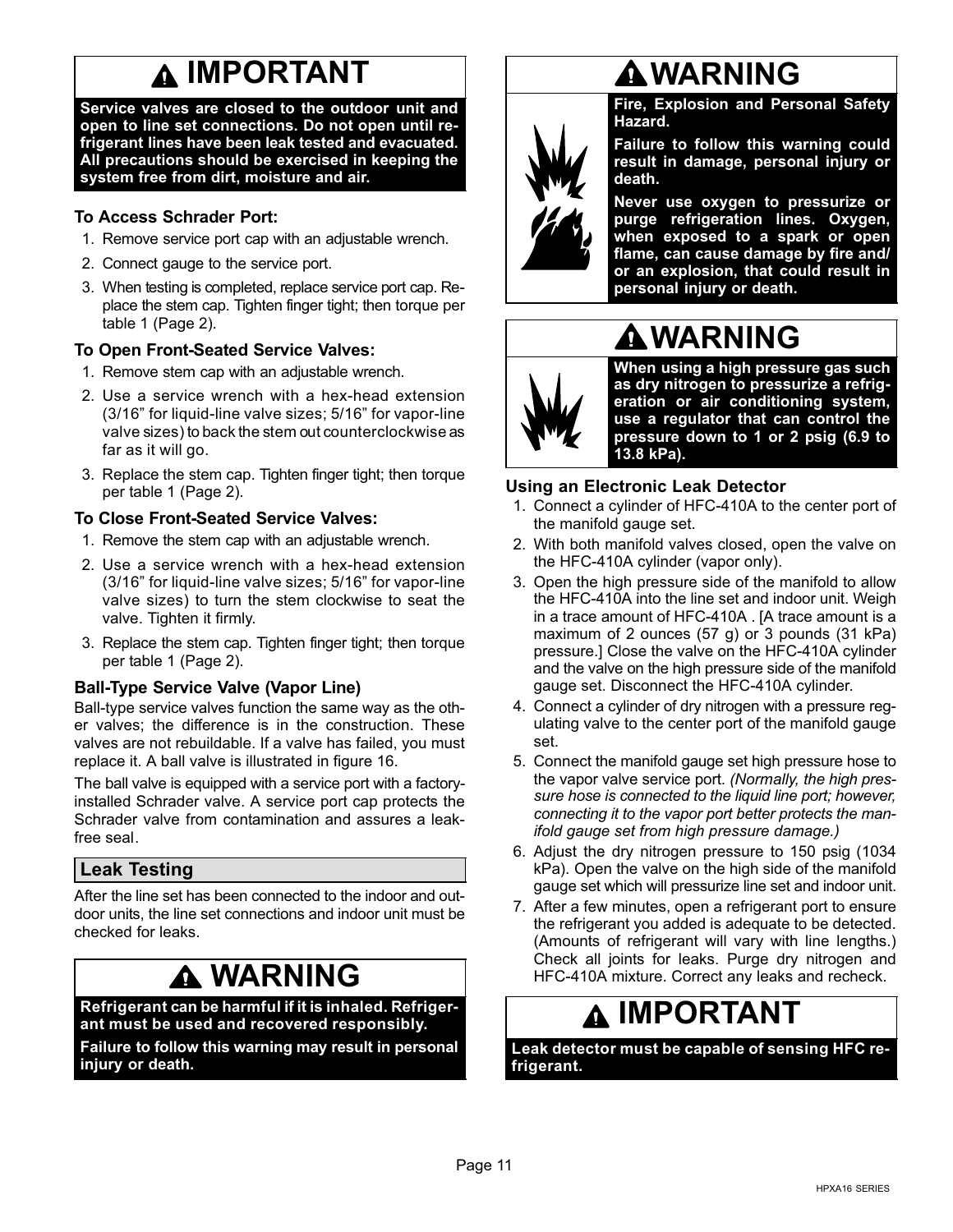### **A IMPORTANT**

<span id="page-10-0"></span>Service valves are closed to the outdoor unit and open to line set connections. Do not open until refrigerant lines have been leak tested and evacuated. All precautions should be exercised in keeping the system free from dirt, moisture and air.

### To Access Schrader Port:

- 1. Remove service port cap with an adjustable wrench.
- 2. Connect gauge to the service port.
- 3. When testing is completed, replace service port cap. Replace the stem cap. Tighten finger tight; then torque per table [1](#page-1-0) ([Page 2](#page-1-0)).

### To Open Front-Seated Service Valves:

- 1. Remove stem cap with an adjustable wrench.
- 2. Use a service wrench with a hex−head extension (3/16" for liquid-line valve sizes; 5/16" for vapor-line valve sizes) to back the stem out counterclockwise as far as it will go.
- 3. Replace the stem cap. Tighten finger tight; then torque per table [1 \(Page 2\)](#page-1-0).

### To Close Front-Seated Service Valves:

- 1. Remove the stem cap with an adjustable wrench.
- 2. Use a service wrench with a hex−head extension (3/16" for liquid-line valve sizes; 5/16" for vapor-line valve sizes) to turn the stem clockwise to seat the valve. Tighten it firmly.
- 3. Replace the stem cap. Tighten finger tight; then torque per table [1 \(Page 2\)](#page-1-0).

### Ball-Type Service Valve (Vapor Line)

Ball-type service valves function the same way as the other valves; the difference is in the construction. These valves are not rebuildable. If a valve has failed, you must replace it. A ball valve is illustrated in figure [16](#page-9-0).

The ball valve is equipped with a service port with a factory− installed Schrader valve. A service port cap protects the Schrader valve from contamination and assures a leak− free seal.

### Leak Testing

After the line set has been connected to the indoor and outdoor units, the line set connections and indoor unit must be checked for leaks.

### WARNING

#### Refrigerant can be harmful if it is inhaled. Refrigerant must be used and recovered responsibly.

Failure to follow this warning may result in personal injury or death.

### WARNING

Fire, Explosion and Personal Safety Hazard.

Failure to follow this warning could result in damage, personal injury or death.

Never use oxygen to pressurize or purge refrigeration lines. Oxygen, when exposed to a spark or open flame, can cause damage by fire and/ or an explosion, that could result in personal injury or death.



When using a high pressure gas such as dry nitrogen to pressurize a refrigeration or air conditioning system, use a regulator that can control the pressure down to 1 or 2 psig (6.9 to 13.8 kPa).

### Using an Electronic Leak Detector

1. Connect a cylinder of HFC−410A to the center port of the manifold gauge set.

WARNING

- 2. With both manifold valves closed, open the valve on the HFC−410A cylinder (vapor only).
- 3. Open the high pressure side of the manifold to allow the HFC−410A into the line set and indoor unit. Weigh in a trace amount of HFC−410A . [A trace amount is a maximum of 2 ounces (57 g) or 3 pounds (31 kPa) pressure.] Close the valve on the HFC−410A cylinder and the valve on the high pressure side of the manifold gauge set. Disconnect the HFC−410A cylinder.
- 4. Connect a cylinder of dry nitrogen with a pressure regulating valve to the center port of the manifold gauge set.
- 5. Connect the manifold gauge set high pressure hose to the vapor valve service port. (Normally, the high pressure hose is connected to the liquid line port; however, connecting it to the vapor port better protects the manifold gauge set from high pressure damage.)
- 6. Adjust the dry nitrogen pressure to 150 psig (1034 kPa). Open the valve on the high side of the manifold gauge set which will pressurize line set and indoor unit.
- 7. After a few minutes, open a refrigerant port to ensure the refrigerant you added is adequate to be detected. (Amounts of refrigerant will vary with line lengths.) Check all joints for leaks. Purge dry nitrogen and HFC-410A mixture. Correct any leaks and recheck.

### IMPORTANT

Leak detector must be capable of sensing HFC refrigerant.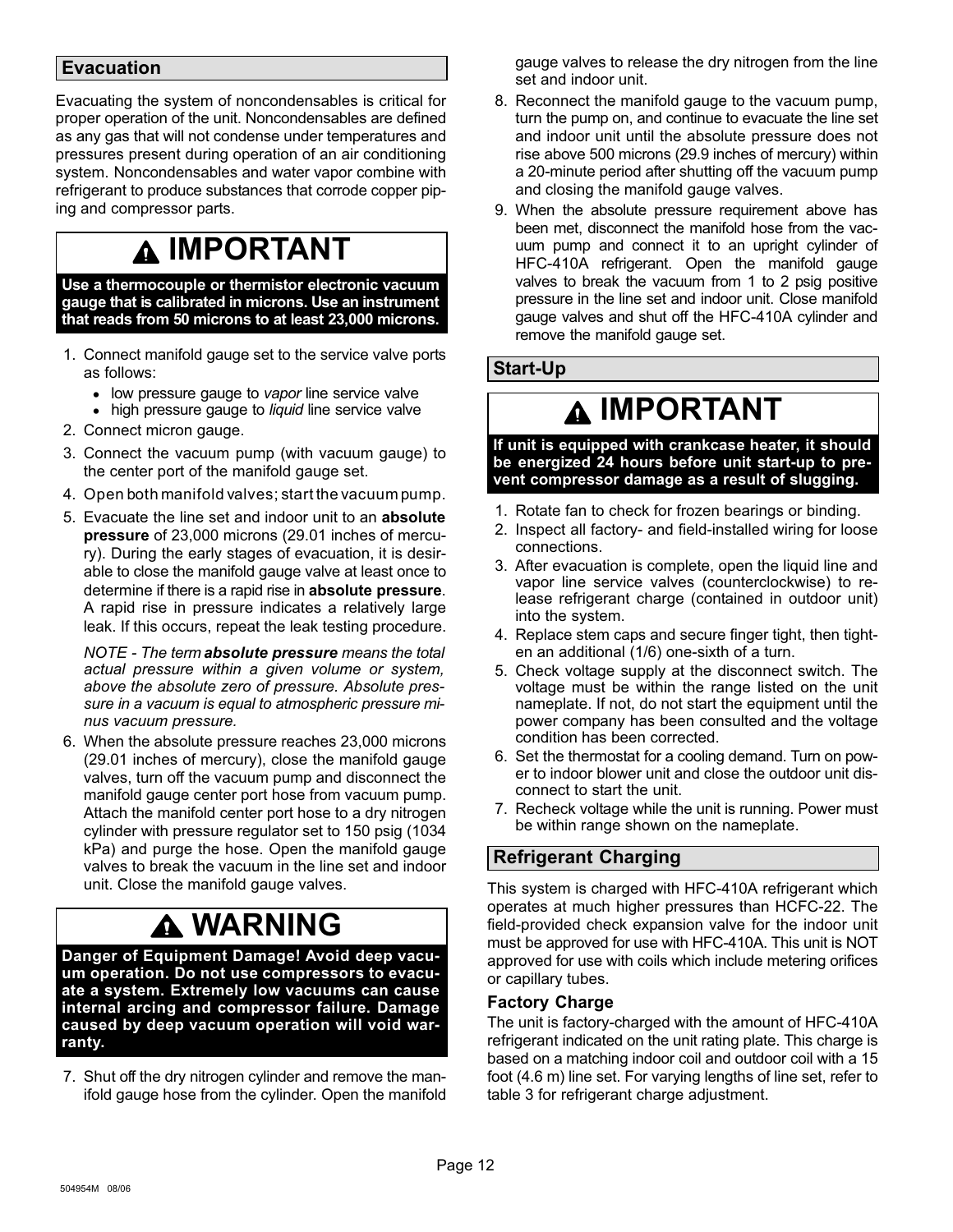### <span id="page-11-0"></span>Evacuation

Evacuating the system of noncondensables is critical for proper operation of the unit. Noncondensables are defined as any gas that will not condense under temperatures and pressures present during operation of an air conditioning system. Noncondensables and water vapor combine with refrigerant to produce substances that corrode copper piping and compressor parts.

### IMPORTANT

Use a thermocouple or thermistor electronic vacuum gauge that is calibrated in microns. Use an instrument that reads from 50 microns to at least 23,000 microns.

- 1. Connect manifold gauge set to the service valve ports as follows:
	- low pressure gauge to vapor line service valve
	- high pressure gauge to liquid line service valve
- 2. Connect micron gauge.
- 3. Connect the vacuum pump (with vacuum gauge) to the center port of the manifold gauge set.
- 4. Open both manifold valves; start the vacuum pump.
- 5. Evacuate the line set and indoor unit to an absolute pressure of 23,000 microns (29.01 inches of mercury). During the early stages of evacuation, it is desirable to close the manifold gauge valve at least once to determine if there is a rapid rise in absolute pressure. A rapid rise in pressure indicates a relatively large leak. If this occurs, repeat the leak testing procedure.

NOTE - The term **absolute pressure** means the total actual pressure within a given volume or system, above the absolute zero of pressure. Absolute pressure in a vacuum is equal to atmospheric pressure minus vacuum pressure.

6. When the absolute pressure reaches 23,000 microns (29.01 inches of mercury), close the manifold gauge valves, turn off the vacuum pump and disconnect the manifold gauge center port hose from vacuum pump. Attach the manifold center port hose to a dry nitrogen cylinder with pressure regulator set to 150 psig (1034 kPa) and purge the hose. Open the manifold gauge valves to break the vacuum in the line set and indoor unit. Close the manifold gauge valves.

### WARNING

Danger of Equipment Damage! Avoid deep vacuum operation. Do not use compressors to evacuate a system. Extremely low vacuums can cause internal arcing and compressor failure. Damage caused by deep vacuum operation will void warranty.

7. Shut off the dry nitrogen cylinder and remove the manifold gauge hose from the cylinder. Open the manifold gauge valves to release the dry nitrogen from the line set and indoor unit.

- 8. Reconnect the manifold gauge to the vacuum pump, turn the pump on, and continue to evacuate the line set and indoor unit until the absolute pressure does not rise above 500 microns (29.9 inches of mercury) within a 20−minute period after shutting off the vacuum pump and closing the manifold gauge valves.
- 9. When the absolute pressure requirement above has been met, disconnect the manifold hose from the vacuum pump and connect it to an upright cylinder of HFC−410A refrigerant. Open the manifold gauge valves to break the vacuum from 1 to 2 psig positive pressure in the line set and indoor unit. Close manifold gauge valves and shut off the HFC−410A cylinder and remove the manifold gauge set.

### Start−Up

### **A IMPORTANT**

If unit is equipped with crankcase heater, it should be energized 24 hours before unit start−up to prevent compressor damage as a result of slugging.

- 1. Rotate fan to check for frozen bearings or binding.
- 2. Inspect all factory− and field-installed wiring for loose connections.
- 3. After evacuation is complete, open the liquid line and vapor line service valves (counterclockwise) to release refrigerant charge (contained in outdoor unit) into the system.
- 4. Replace stem caps and secure finger tight, then tighten an additional (1/6) one-sixth of a turn.
- 5. Check voltage supply at the disconnect switch. The voltage must be within the range listed on the unit nameplate. If not, do not start the equipment until the power company has been consulted and the voltage condition has been corrected.
- 6. Set the thermostat for a cooling demand. Turn on power to indoor blower unit and close the outdoor unit disconnect to start the unit.
- 7. Recheck voltage while the unit is running. Power must be within range shown on the nameplate.

### Refrigerant Charging

This system is charged with HFC−410A refrigerant which operates at much higher pressures than HCFC−22. The field−provided check expansion valve for the indoor unit must be approved for use with HFC−410A. This unit is NOT approved for use with coils which include metering orifices or capillary tubes.

### Factory Charge

The unit is factory−charged with the amount of HFC−410A refrigerant indicated on the unit rating plate. This charge is based on a matching indoor coil and outdoor coil with a 15 foot (4.6 m) line set. For varying lengths of line set, refer to table [3](#page-12-0) for refrigerant charge adjustment.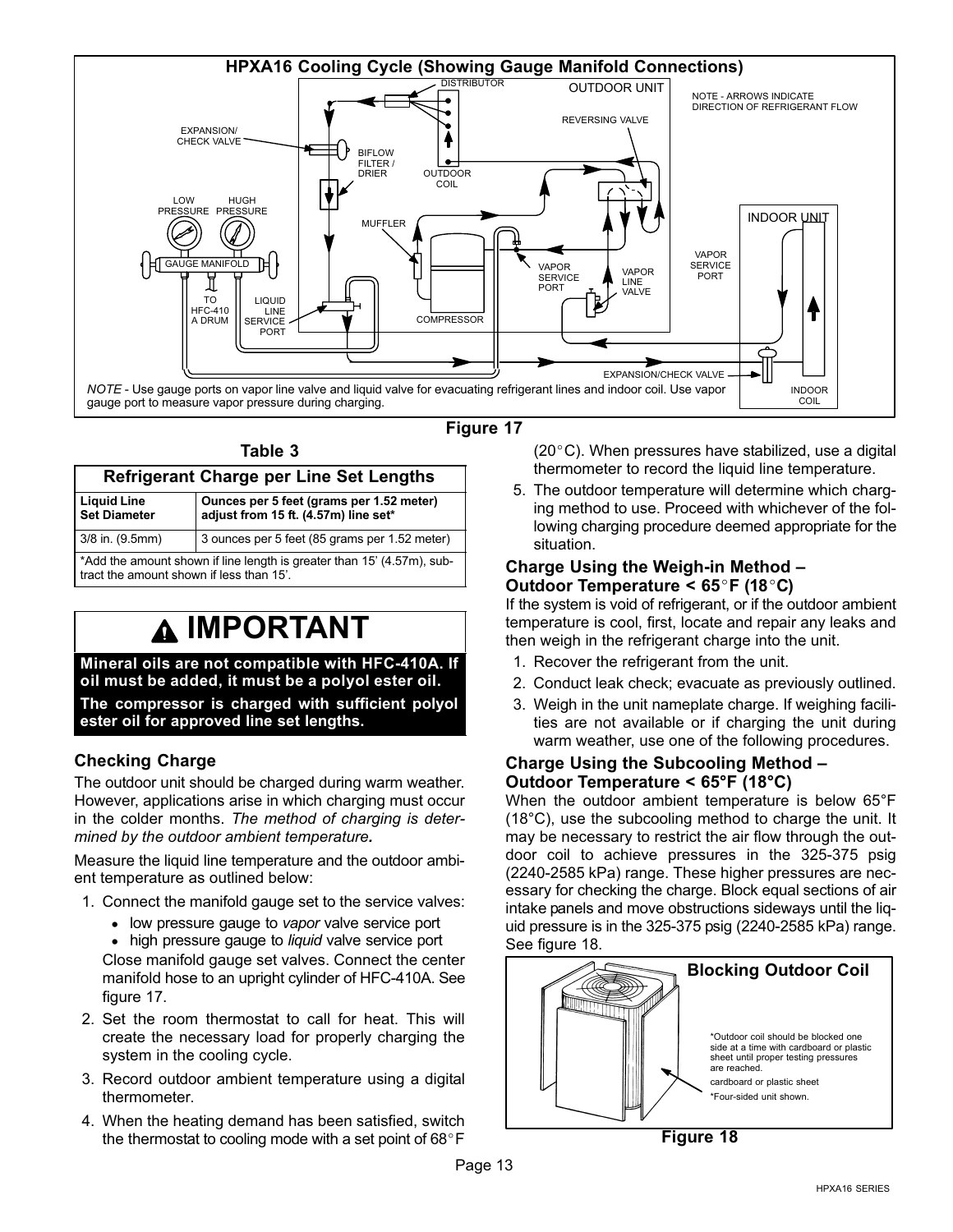<span id="page-12-0"></span>

| Table 3                                                                                                            |                                                                                  |  |  |  |  |  |
|--------------------------------------------------------------------------------------------------------------------|----------------------------------------------------------------------------------|--|--|--|--|--|
| <b>Refrigerant Charge per Line Set Lengths</b>                                                                     |                                                                                  |  |  |  |  |  |
| <b>Liquid Line</b><br><b>Set Diameter</b>                                                                          | Ounces per 5 feet (grams per 1.52 meter)<br>adjust from 15 ft. (4.57m) line set* |  |  |  |  |  |
| 3/8 in. (9.5mm)                                                                                                    | 3 ounces per 5 feet (85 grams per 1.52 meter)                                    |  |  |  |  |  |
| *Add the amount shown if line length is greater than 15' (4.57m), sub-<br>tract the amount shown if less than 15'. |                                                                                  |  |  |  |  |  |

### IMPORTANT

Mineral oils are not compatible with HFC−410A. If oil must be added, it must be a polyol ester oil.

The compressor is charged with sufficient polyol ester oil for approved line set lengths.

### Checking Charge

figure 17.

The outdoor unit should be charged during warm weather. However, applications arise in which charging must occur in the colder months. The method of charging is determined by the outdoor ambient temperature.

Measure the liquid line temperature and the outdoor ambient temperature as outlined below:

- 1. Connect the manifold gauge set to the service valves:
	- low pressure gauge to vapor valve service port
	- high pressure gauge to liquid valve service port Close manifold gauge set valves. Connect the center manifold hose to an upright cylinder of HFC−410A. See
- 2. Set the room thermostat to call for heat. This will create the necessary load for properly charging the system in the cooling cycle.
- 3. Record outdoor ambient temperature using a digital thermometer.
- 4. When the heating demand has been satisfied, switch the thermostat to cooling mode with a set point of  $68^{\circ}$ F

 $(20^{\circ}C)$ . When pressures have stabilized, use a digital thermometer to record the liquid line temperature.

5. The outdoor temperature will determine which charging method to use. Proceed with whichever of the following charging procedure deemed appropriate for the situation.

### Charge Using the Weigh-in Method – Outdoor Temperature <  $65^{\circ}$ F (18 $^{\circ}$ C)

If the system is void of refrigerant, or if the outdoor ambient temperature is cool, first, locate and repair any leaks and then weigh in the refrigerant charge into the unit.

- 1. Recover the refrigerant from the unit.
- 2. Conduct leak check; evacuate as previously outlined.
- 3. Weigh in the unit nameplate charge. If weighing facilities are not available or if charging the unit during warm weather, use one of the following procedures.

#### Charge Using the Subcooling Method – Outdoor Temperature < 65°F (18°C)

When the outdoor ambient temperature is below 65°F (18°C), use the subcooling method to charge the unit. It may be necessary to restrict the air flow through the outdoor coil to achieve pressures in the 325−375 psig (2240−2585 kPa) range. These higher pressures are necessary for checking the charge. Block equal sections of air intake panels and move obstructions sideways until the liquid pressure is in the 325−375 psig (2240−2585 kPa) range. See figure 18.

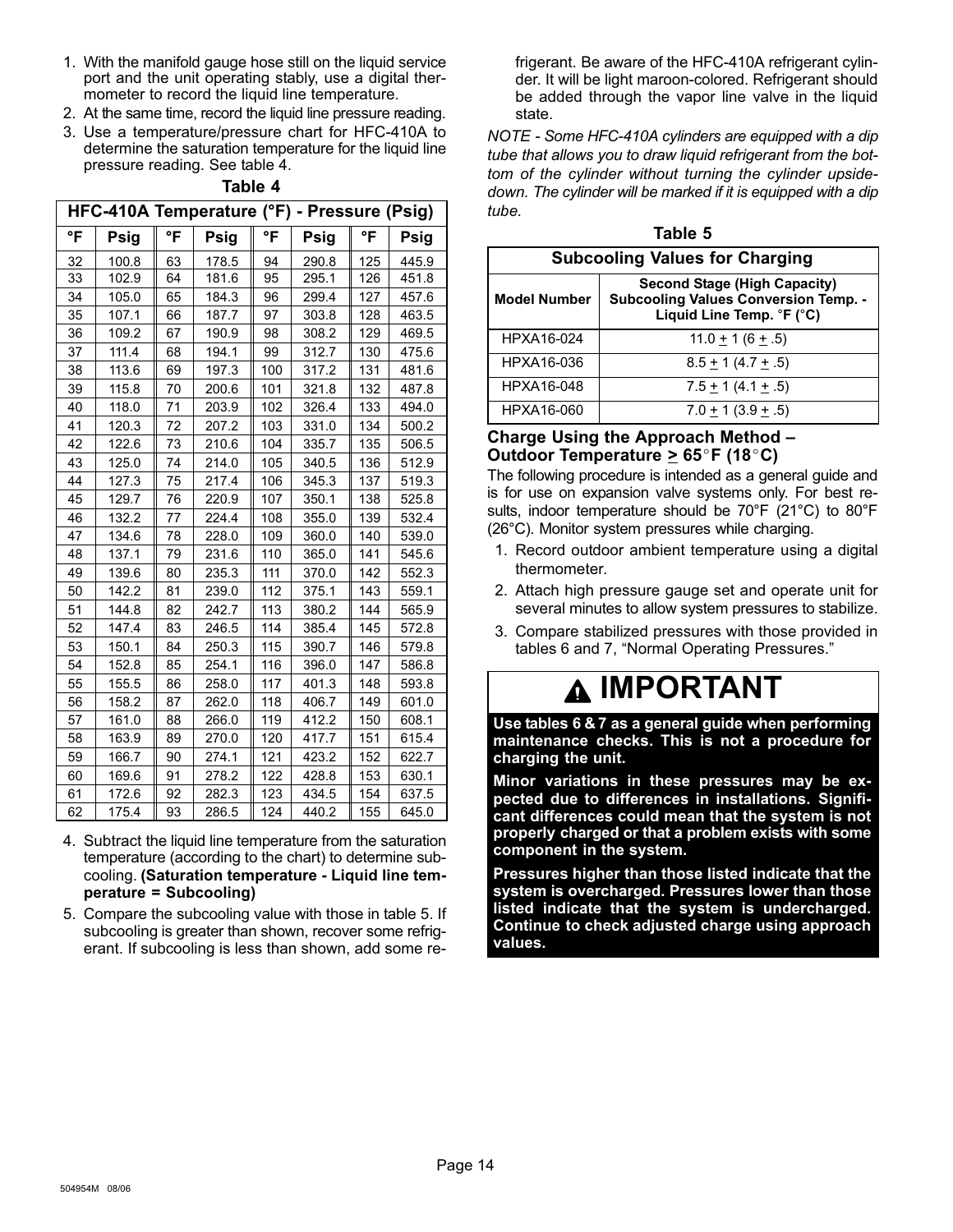- 1. With the manifold gauge hose still on the liquid service port and the unit operating stably, use a digital thermometer to record the liquid line temperature.
- 2. At the same time, record the liquid line pressure reading.
- 3. Use a temperature/pressure chart for HFC−410A to determine the saturation temperature for the liquid line pressure reading. See table 4.

|    | rabie 4                                     |    |       |     |       |     |       |  |
|----|---------------------------------------------|----|-------|-----|-------|-----|-------|--|
|    | HFC-410A Temperature (°F) - Pressure (Psig) |    |       |     |       |     |       |  |
| °F | Psig                                        | °F | Psig  | °F  | Psig  | °F  | Psig  |  |
| 32 | 100.8                                       | 63 | 178.5 | 94  | 290.8 | 125 | 445.9 |  |
| 33 | 102.9                                       | 64 | 181.6 | 95  | 295.1 | 126 | 451.8 |  |
| 34 | 105.0                                       | 65 | 184.3 | 96  | 299.4 | 127 | 457.6 |  |
| 35 | 107.1                                       | 66 | 187.7 | 97  | 303.8 | 128 | 463.5 |  |
| 36 | 109.2                                       | 67 | 190.9 | 98  | 308.2 | 129 | 469.5 |  |
| 37 | 111.4                                       | 68 | 194.1 | 99  | 312.7 | 130 | 475.6 |  |
| 38 | 113.6                                       | 69 | 197.3 | 100 | 317.2 | 131 | 481.6 |  |
| 39 | 115.8                                       | 70 | 200.6 | 101 | 321.8 | 132 | 487.8 |  |
| 40 | 118.0                                       | 71 | 203.9 | 102 | 326.4 | 133 | 494.0 |  |
| 41 | 120.3                                       | 72 | 207.2 | 103 | 331.0 | 134 | 500.2 |  |
| 42 | 122.6                                       | 73 | 210.6 | 104 | 335.7 | 135 | 506.5 |  |
| 43 | 125.0                                       | 74 | 214.0 | 105 | 340.5 | 136 | 512.9 |  |
| 44 | 127.3                                       | 75 | 217.4 | 106 | 345.3 | 137 | 519.3 |  |
| 45 | 129.7                                       | 76 | 220.9 | 107 | 350.1 | 138 | 525.8 |  |
| 46 | 132.2                                       | 77 | 224.4 | 108 | 355.0 | 139 | 532.4 |  |
| 47 | 134.6                                       | 78 | 228.0 | 109 | 360.0 | 140 | 539.0 |  |
| 48 | 137.1                                       | 79 | 231.6 | 110 | 365.0 | 141 | 545.6 |  |
| 49 | 139.6                                       | 80 | 235.3 | 111 | 370.0 | 142 | 552.3 |  |
| 50 | 142.2                                       | 81 | 239.0 | 112 | 375.1 | 143 | 559.1 |  |
| 51 | 144.8                                       | 82 | 242.7 | 113 | 380.2 | 144 | 565.9 |  |
| 52 | 147.4                                       | 83 | 246.5 | 114 | 385.4 | 145 | 572.8 |  |
| 53 | 150.1                                       | 84 | 250.3 | 115 | 390.7 | 146 | 579.8 |  |
| 54 | 152.8                                       | 85 | 254.1 | 116 | 396.0 | 147 | 586.8 |  |
| 55 | 155.5                                       | 86 | 258.0 | 117 | 401.3 | 148 | 593.8 |  |
| 56 | 158.2                                       | 87 | 262.0 | 118 | 406.7 | 149 | 601.0 |  |
| 57 | 161.0                                       | 88 | 266.0 | 119 | 412.2 | 150 | 608.1 |  |
| 58 | 163.9                                       | 89 | 270.0 | 120 | 417.7 | 151 | 615.4 |  |
| 59 | 166.7                                       | 90 | 274.1 | 121 | 423.2 | 152 | 622.7 |  |
| 60 | 169.6                                       | 91 | 278.2 | 122 | 428.8 | 153 | 630.1 |  |
| 61 | 172.6                                       | 92 | 282.3 | 123 | 434.5 | 154 | 637.5 |  |

Table 4

62 | 175.4 || 93 | 286.5 || 124 | 440.2 || 155 | 645.0 4. Subtract the liquid line temperature from the saturation temperature (according to the chart) to determine subcooling. (Saturation temperature − Liquid line temperature = Subcooling)

5. Compare the subcooling value with those in table 5. If subcooling is greater than shown, recover some refrigerant. If subcooling is less than shown, add some refrigerant. Be aware of the HFC−410A refrigerant cylinder. It will be light maroon−colored. Refrigerant should be added through the vapor line valve in the liquid state.

NOTE − Some HFC−410A cylinders are equipped with a dip tube that allows you to draw liquid refrigerant from the bottom of the cylinder without turning the cylinder upside− down. The cylinder will be marked if it is equipped with a dip tube.

| Table 5                               |                                                                                                                                    |  |  |  |  |
|---------------------------------------|------------------------------------------------------------------------------------------------------------------------------------|--|--|--|--|
| <b>Subcooling Values for Charging</b> |                                                                                                                                    |  |  |  |  |
| <b>Model Number</b>                   | <b>Second Stage (High Capacity)</b><br><b>Subcooling Values Conversion Temp. -</b><br>Liquid Line Temp. $\degree$ F ( $\degree$ C) |  |  |  |  |
| HPXA16-024                            | $11.0 + 1(6 + .5)$                                                                                                                 |  |  |  |  |
| HPXA16-036                            | $8.5 + 1(4.7 + .5)$                                                                                                                |  |  |  |  |
| HPXA16-048                            | $7.5 + 1(4.1 + .5)$                                                                                                                |  |  |  |  |
| HPXA16-060                            | $7.0 + 1(3.9 + .5)$                                                                                                                |  |  |  |  |

### Charge Using the Approach Method – Outdoor Temperature  $\geq 65^{\circ}$ F (18 $^{\circ}$ C)

The following procedure is intended as a general guide and is for use on expansion valve systems only. For best results, indoor temperature should be 70°F (21°C) to 80°F (26°C). Monitor system pressures while charging.

- 1. Record outdoor ambient temperature using a digital thermometer.
- 2. Attach high pressure gauge set and operate unit for several minutes to allow system pressures to stabilize.
- 3. Compare stabilized pressures with those provided in tables [6](#page-14-0) and [7,](#page-14-0) "Normal Operating Pressures."

### IMPORTANT

Use tables [6](#page-14-0) & [7](#page-14-0) as a general guide when performing maintenance checks. This is not a procedure for charging the unit.

Minor variations in these pressures may be expected due to differences in installations. Significant differences could mean that the system is not properly charged or that a problem exists with some component in the system.

Pressures higher than those listed indicate that the system is overcharged. Pressures lower than those listed indicate that the system is undercharged. Continue to check adjusted charge using approach values.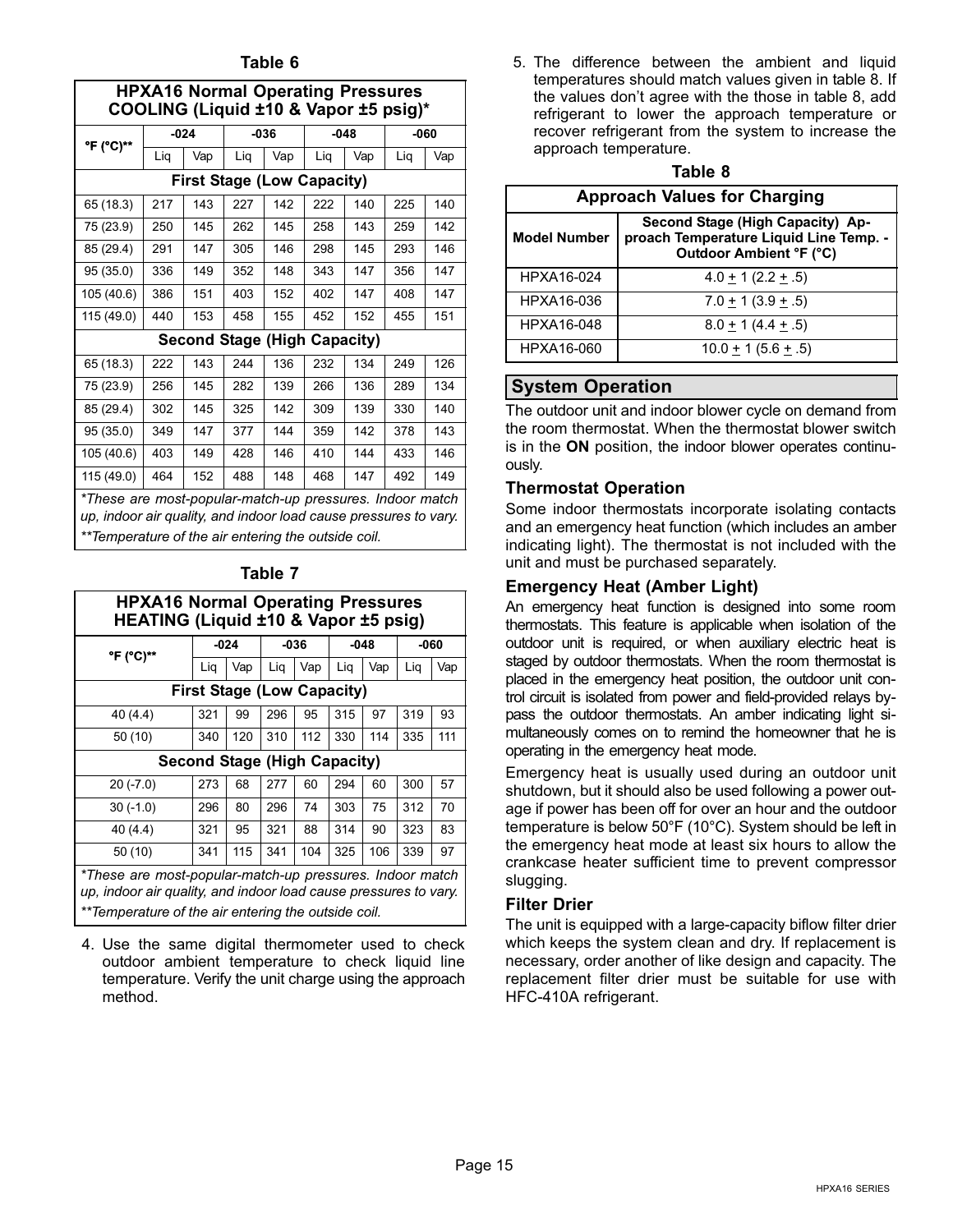<span id="page-14-0"></span>

| COOLING (Liquid ±10 & Vapor ±5 psig)*                                                                                        |     |                                     |     |        |     |        |     |      |
|------------------------------------------------------------------------------------------------------------------------------|-----|-------------------------------------|-----|--------|-----|--------|-----|------|
| °F (°C)**                                                                                                                    |     | $-024$                              |     | $-036$ |     | $-048$ |     | -060 |
|                                                                                                                              | Liq | Vap                                 | Liq | Vap    | Liq | Vap    | Liq | Vap  |
|                                                                                                                              |     | <b>First Stage (Low Capacity)</b>   |     |        |     |        |     |      |
| 65 (18.3)                                                                                                                    | 217 | 143                                 | 227 | 142    | 222 | 140    | 225 | 140  |
| 75 (23.9)                                                                                                                    | 250 | 145                                 | 262 | 145    | 258 | 143    | 259 | 142  |
| 85 (29.4)                                                                                                                    | 291 | 147                                 | 305 | 146    | 298 | 145    | 293 | 146  |
| 95 (35.0)                                                                                                                    | 336 | 149                                 | 352 | 148    | 343 | 147    | 356 | 147  |
| 105 (40.6)                                                                                                                   | 386 | 151                                 | 403 | 152    | 402 | 147    | 408 | 147  |
| 115 (49.0)                                                                                                                   | 440 | 153                                 | 458 | 155    | 452 | 152    | 455 | 151  |
|                                                                                                                              |     | <b>Second Stage (High Capacity)</b> |     |        |     |        |     |      |
| 65 (18.3)                                                                                                                    | 222 | 143                                 | 244 | 136    | 232 | 134    | 249 | 126  |
| 75 (23.9)                                                                                                                    | 256 | 145                                 | 282 | 139    | 266 | 136    | 289 | 134  |
| 85 (29.4)                                                                                                                    | 302 | 145                                 | 325 | 142    | 309 | 139    | 330 | 140  |
| 95 (35.0)                                                                                                                    | 349 | 147                                 | 377 | 144    | 359 | 142    | 378 | 143  |
| 105 (40.6)                                                                                                                   | 403 | 149                                 | 428 | 146    | 410 | 144    | 433 | 146  |
| 115 (49.0)                                                                                                                   | 464 | 152                                 | 488 | 148    | 468 | 147    | 492 | 149  |
| *These are most-popular-match-up pressures. Indoor match<br>up, indoor air quality, and indoor load cause pressures to vary. |     |                                     |     |        |     |        |     |      |

\*\*Temperature of the air entering the outside coil.

### Table 7

| <b>HPXA16 Normal Operating Pressures</b><br>HEATING (Liquid ±10 & Vapor ±5 psig)                                          |                                     |        |        |     |        |     |        |     |
|---------------------------------------------------------------------------------------------------------------------------|-------------------------------------|--------|--------|-----|--------|-----|--------|-----|
| °F (°C)**                                                                                                                 |                                     | $-024$ | $-036$ |     | $-048$ |     | $-060$ |     |
|                                                                                                                           | Lig                                 | Vap    | Lig    | Vap | Lig    | Vap | Lig    | Vap |
|                                                                                                                           | <b>First Stage (Low Capacity)</b>   |        |        |     |        |     |        |     |
| 40(4.4)                                                                                                                   | 321                                 | 99     | 296    | 95  | 315    | 97  | 319    | 93  |
| 50(10)                                                                                                                    | 340                                 | 120    | 310    | 112 | 330    | 114 | 335    | 111 |
|                                                                                                                           | <b>Second Stage (High Capacity)</b> |        |        |     |        |     |        |     |
| $20(-7.0)$                                                                                                                | 273                                 | 68     | 277    | 60  | 294    | 60  | 300    | 57  |
| $30(-1.0)$                                                                                                                | 296                                 | 80     | 296    | 74  | 303    | 75  | 312    | 70  |
| 40 (4.4)                                                                                                                  | 321                                 | 95     | 321    | 88  | 314    | 90  | 323    | 83  |
| 50(10)                                                                                                                    | 341                                 | 115    | 341    | 104 | 325    | 106 | 339    | 97  |
| *These are most-popular-match-up pressures. Indoor match<br>un indoor air quality and indoor load cause pressures to vary |                                     |        |        |     |        |     |        |     |

up, indoor air quality, and indoor load cause pressures to vary. \*\*Temperature of the air entering the outside coil.

4. Use the same digital thermometer used to check outdoor ambient temperature to check liquid line temperature. Verify the unit charge using the approach method.

5. The difference between the ambient and liquid temperatures should match values given in table 8. If the values don't agree with the those in table 8, add refrigerant to lower the approach temperature or recover refrigerant from the system to increase the approach temperature.

| ıo<br>٠ |  |
|---------|--|
|---------|--|

| <b>Approach Values for Charging</b> |                                                                                                              |  |  |  |  |
|-------------------------------------|--------------------------------------------------------------------------------------------------------------|--|--|--|--|
| <b>Model Number</b>                 | Second Stage (High Capacity) Ap-<br>proach Temperature Liquid Line Temp. -<br><b>Outdoor Ambient °F (°C)</b> |  |  |  |  |
| HPXA16-024                          | $4.0 \pm 1$ (2.2 $\pm .5$ )                                                                                  |  |  |  |  |
| HPXA16-036                          | $7.0 + 1(3.9 + .5)$                                                                                          |  |  |  |  |
| HPXA16-048                          | $8.0 + 1(4.4 + .5)$                                                                                          |  |  |  |  |
| HPXA16-060                          | $10.0 + 1(5.6 + .5)$                                                                                         |  |  |  |  |

### System Operation

The outdoor unit and indoor blower cycle on demand from the room thermostat. When the thermostat blower switch is in the ON position, the indoor blower operates continuously.

### Thermostat Operation

Some indoor thermostats incorporate isolating contacts and an emergency heat function (which includes an amber indicating light). The thermostat is not included with the unit and must be purchased separately.

### Emergency Heat (Amber Light)

An emergency heat function is designed into some room thermostats. This feature is applicable when isolation of the outdoor unit is required, or when auxiliary electric heat is staged by outdoor thermostats. When the room thermostat is placed in the emergency heat position, the outdoor unit control circuit is isolated from power and field-provided relays bypass the outdoor thermostats. An amber indicating light simultaneously comes on to remind the homeowner that he is operating in the emergency heat mode.

Emergency heat is usually used during an outdoor unit shutdown, but it should also be used following a power outage if power has been off for over an hour and the outdoor temperature is below 50°F (10°C). System should be left in the emergency heat mode at least six hours to allow the crankcase heater sufficient time to prevent compressor slugging.

### Filter Drier

The unit is equipped with a large−capacity biflow filter drier which keeps the system clean and dry. If replacement is necessary, order another of like design and capacity. The replacement filter drier must be suitable for use with HFC−410A refrigerant.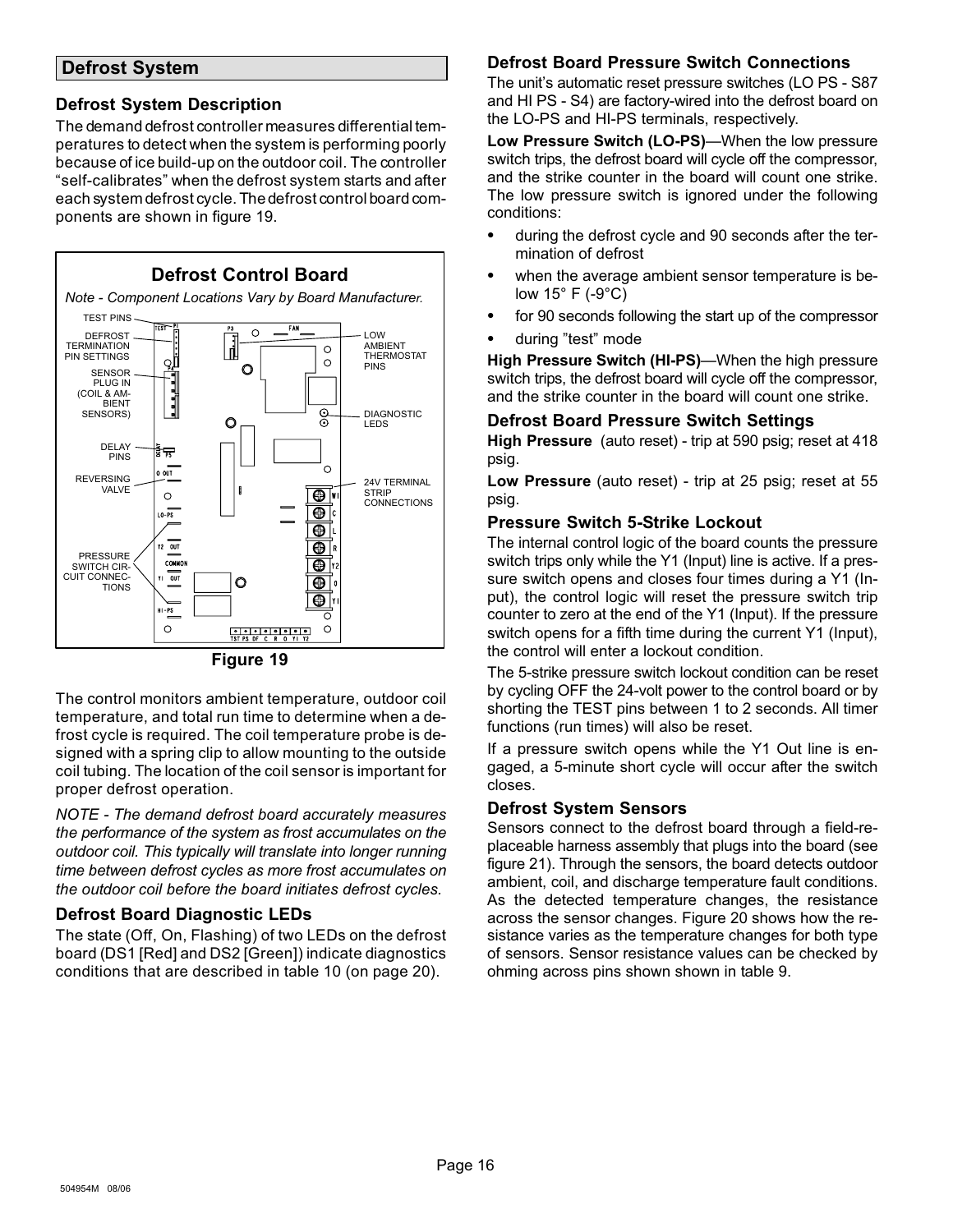### <span id="page-15-0"></span>Defrost System

### Defrost System Description

The demand defrost controller measures differential temperatures to detect when the system is performing poorly because of ice build−up on the outdoor coil. The controller -self−calibrates" when the defrost system starts and after each system defrost cycle. The defrost control board components are shown in figure 19.



Figure 19

The control monitors ambient temperature, outdoor coil temperature, and total run time to determine when a defrost cycle is required. The coil temperature probe is designed with a spring clip to allow mounting to the outside coil tubing. The location of the coil sensor is important for proper defrost operation.

NOTE − The demand defrost board accurately measures the performance of the system as frost accumulates on the outdoor coil. This typically will translate into longer running time between defrost cycles as more frost accumulates on the outdoor coil before the board initiates defrost cycles.

### Defrost Board Diagnostic LEDs

The state (Off, On, Flashing) of two LEDs on the defrost board (DS1 [Red] and DS2 [Green]) indicate diagnostics conditions that are described in table [10](#page-19-0) (on page [20](#page-19-0)).

### Defrost Board Pressure Switch Connections

The unit's automatic reset pressure switches (LO PS − S87 and HI PS − S4) are factory−wired into the defrost board on the LO−PS and HI−PS terminals, respectively.

Low Pressure Switch (LO-PS)—When the low pressure switch trips, the defrost board will cycle off the compressor, and the strike counter in the board will count one strike. The low pressure switch is ignored under the following conditions:

- during the defrost cycle and 90 seconds after the termination of defrost
- when the average ambient sensor temperature is below 15° F (−9°C)
- for 90 seconds following the start up of the compressor
- during "test" mode

High Pressure Switch (HI-PS)—When the high pressure switch trips, the defrost board will cycle off the compressor, and the strike counter in the board will count one strike.

### Defrost Board Pressure Switch Settings

High Pressure (auto reset) - trip at 590 psig; reset at 418 psig.

Low Pressure (auto reset) - trip at 25 psig; reset at 55 psig.

#### Pressure Switch 5−Strike Lockout

The internal control logic of the board counts the pressure switch trips only while the Y1 (Input) line is active. If a pressure switch opens and closes four times during a Y1 (Input), the control logic will reset the pressure switch trip counter to zero at the end of the Y1 (Input). If the pressure switch opens for a fifth time during the current Y1 (Input), the control will enter a lockout condition.

The 5−strike pressure switch lockout condition can be reset by cycling OFF the 24−volt power to the control board or by shorting the TEST pins between 1 to 2 seconds. All timer functions (run times) will also be reset.

If a pressure switch opens while the Y1 Out line is engaged, a 5−minute short cycle will occur after the switch closes.

### Defrost System Sensors

Sensors connect to the defrost board through a field-replaceable harness assembly that plugs into the board (see figure [21](#page-16-0)). Through the sensors, the board detects outdoor ambient, coil, and discharge temperature fault conditions. As the detected temperature changes, the resistance across the sensor changes. Figure [20](#page-16-0) shows how the resistance varies as the temperature changes for both type of sensors. Sensor resistance values can be checked by ohming across pins shown shown in table [9.](#page-16-0)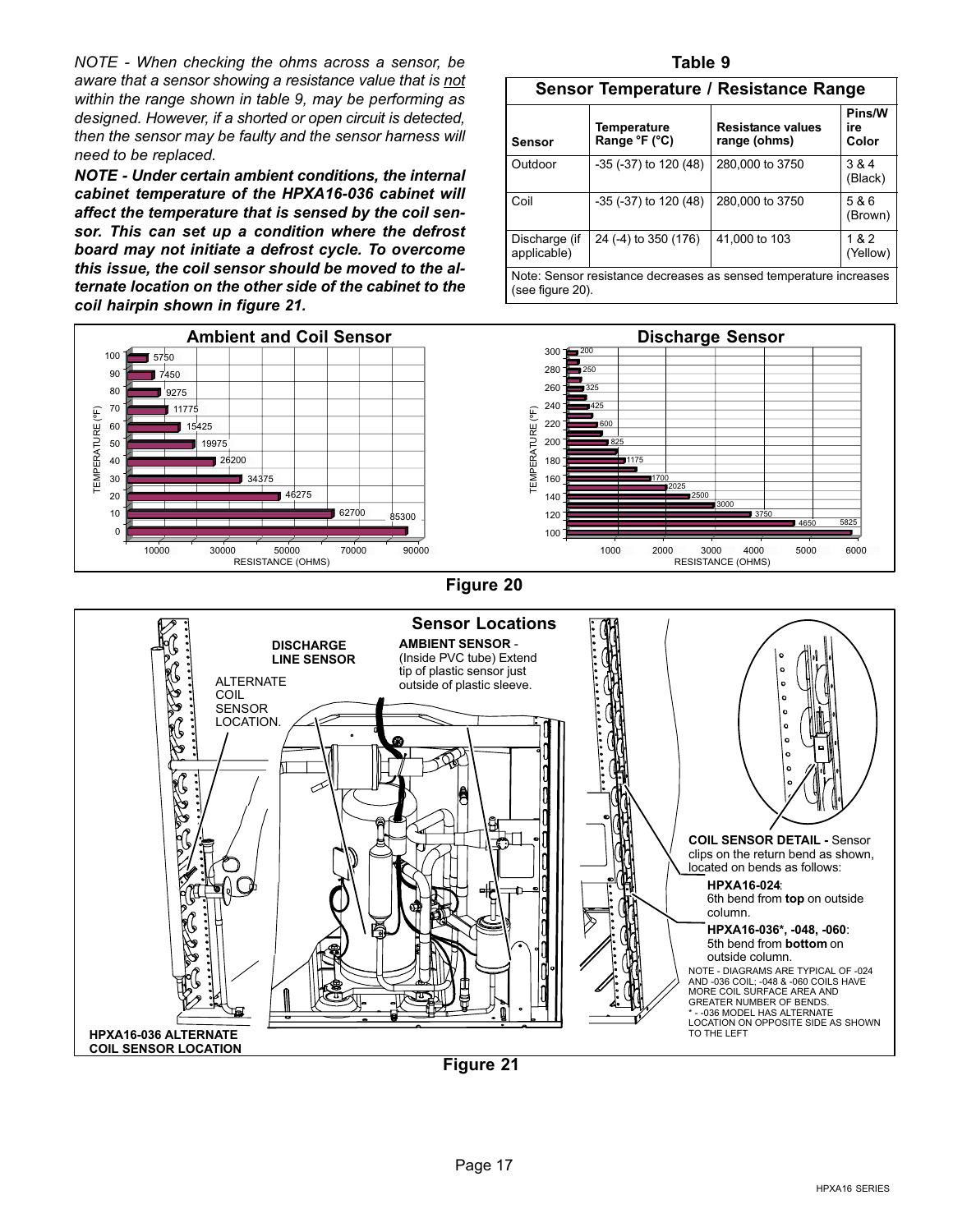<span id="page-16-0"></span>NOTE − When checking the ohms across a sensor, be aware that a sensor showing a resistance value that is not within the range shown in table 9, may be performing as designed. However, if a shorted or open circuit is detected, then the sensor may be faulty and the sensor harness will need to be replaced.

NOTE − Under certain ambient conditions, the internal cabinet temperature of the HPXA16−036 cabinet will affect the temperature that is sensed by the coil sensor. This can set up a condition where the defrost board may not initiate a defrost cycle. To overcome this issue, the coil sensor should be moved to the alternate location on the other side of the cabinet to the coil hairpin shown in figure 21.



#### Table 9

| Sensor Temperature / Resistance Range                                                 |                              |                                   |                        |  |  |  |  |
|---------------------------------------------------------------------------------------|------------------------------|-----------------------------------|------------------------|--|--|--|--|
| Sensor                                                                                | Temperature<br>Range °F (°C) | Resistance values<br>range (ohms) | Pins/W<br>ire<br>Color |  |  |  |  |
| Outdoor                                                                               | $-35$ ( $-37$ ) to 120 (48)  | 280,000 to 3750                   | 3 & 4<br>(Black)       |  |  |  |  |
| Coil                                                                                  | $-35$ ( $-37$ ) to 120 (48)  | 280,000 to 3750                   | 5 & 6<br>(Brown)       |  |  |  |  |
| Discharge (if<br>applicable)                                                          | 24 (-4) to 350 (176)         | 41,000 to 103                     | 1&2<br>(Yellow)        |  |  |  |  |
| Note: Sensor resistance decreases as sensed temperature increases<br>(see figure 20). |                              |                                   |                        |  |  |  |  |



### Figure 20



Figure 21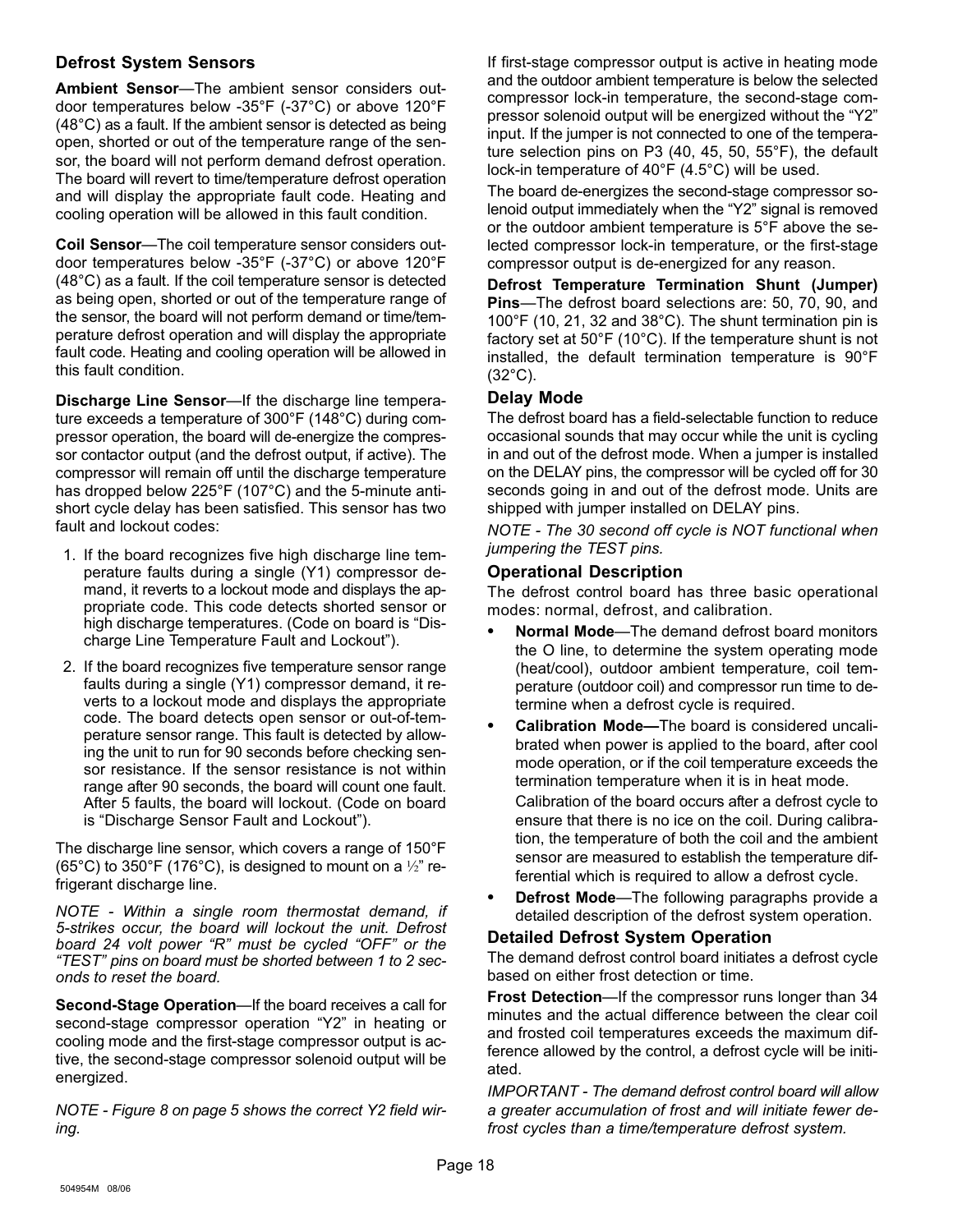### Defrost System Sensors

Ambient Sensor-The ambient sensor considers outdoor temperatures below −35°F (−37°C) or above 120°F (48°C) as a fault. If the ambient sensor is detected as being open, shorted or out of the temperature range of the sensor, the board will not perform demand defrost operation. The board will revert to time/temperature defrost operation and will display the appropriate fault code. Heating and cooling operation will be allowed in this fault condition.

**Coil Sensor**—The coil temperature sensor considers outdoor temperatures below −35°F (−37°C) or above 120°F (48°C) as a fault. If the coil temperature sensor is detected as being open, shorted or out of the temperature range of the sensor, the board will not perform demand or time/temperature defrost operation and will display the appropriate fault code. Heating and cooling operation will be allowed in this fault condition.

Discharge Line Sensor-If the discharge line temperature exceeds a temperature of 300°F (148°C) during compressor operation, the board will de−energize the compressor contactor output (and the defrost output, if active). The compressor will remain off until the discharge temperature has dropped below 225°F (107°C) and the 5-minute anti− short cycle delay has been satisfied. This sensor has two fault and lockout codes:

- 1. If the board recognizes five high discharge line temperature faults during a single (Y1) compressor demand, it reverts to a lockout mode and displays the appropriate code. This code detects shorted sensor or high discharge temperatures. (Code on board is "Discharge Line Temperature Fault and Lockout").
- 2. If the board recognizes five temperature sensor range faults during a single (Y1) compressor demand, it reverts to a lockout mode and displays the appropriate code. The board detects open sensor or out-of-temperature sensor range. This fault is detected by allowing the unit to run for 90 seconds before checking sensor resistance. If the sensor resistance is not within range after 90 seconds, the board will count one fault. After 5 faults, the board will lockout. (Code on board is "Discharge Sensor Fault and Lockout").

The discharge line sensor, which covers a range of 150°F (65°C) to 350°F (176°C), is designed to mount on a *½*" refrigerant discharge line.

NOTE − Within a single room thermostat demand, if 5−strikes occur, the board will lockout the unit. Defrost board 24 volt power " $R$ " must be cycled "OFF" or the TEST" pins on board must be shorted between 1 to 2 seconds to reset the board.

Second-Stage Operation—If the board receives a call for second-stage compressor operation "Y2" in heating or cooling mode and the first-stage compressor output is active, the second-stage compressor solenoid output will be energized.

NOTE − Figure [8](#page-4-0) on page [5](#page-4-0) shows the correct Y2 field wiring.

If first-stage compressor output is active in heating mode and the outdoor ambient temperature is below the selected compressor lock−in temperature, the second-stage compressor solenoid output will be energized without the "Y2" input. If the jumper is not connected to one of the temperature selection pins on P3 (40, 45, 50, 55°F), the default lock−in temperature of 40°F (4.5°C) will be used.

The board de−energizes the second-stage compressor solenoid output immediately when the "Y2" signal is removed or the outdoor ambient temperature is 5°F above the selected compressor lock−in temperature, or the first-stage compressor output is de−energized for any reason.

Defrost Temperature Termination Shunt (Jumper) **Pins**—The defrost board selections are: 50, 70, 90, and 100°F (10, 21, 32 and 38°C). The shunt termination pin is factory set at 50°F (10°C). If the temperature shunt is not installed, the default termination temperature is 90°F (32°C).

#### Delay Mode

The defrost board has a field−selectable function to reduce occasional sounds that may occur while the unit is cycling in and out of the defrost mode. When a jumper is installed on the DELAY pins, the compressor will be cycled off for 30 seconds going in and out of the defrost mode. Units are shipped with jumper installed on DELAY pins.

NOTE − The 30 second off cycle is NOT functional when jumpering the TEST pins.

#### Operational Description

The defrost control board has three basic operational modes: normal, defrost, and calibration.

- Normal Mode—The demand defrost board monitors the O line, to determine the system operating mode (heat/cool), outdoor ambient temperature, coil temperature (outdoor coil) and compressor run time to determine when a defrost cycle is required.
- Calibration Mode-The board is considered uncalibrated when power is applied to the board, after cool mode operation, or if the coil temperature exceeds the termination temperature when it is in heat mode.

Calibration of the board occurs after a defrost cycle to ensure that there is no ice on the coil. During calibration, the temperature of both the coil and the ambient sensor are measured to establish the temperature differential which is required to allow a defrost cycle.

Defrost Mode-The following paragraphs provide a detailed description of the defrost system operation.

### Detailed Defrost System Operation

The demand defrost control board initiates a defrost cycle based on either frost detection or time.

**Frost Detection—If the compressor runs longer than 34** minutes and the actual difference between the clear coil and frosted coil temperatures exceeds the maximum difference allowed by the control, a defrost cycle will be initiated.

IMPORTANT − The demand defrost control board will allow a greater accumulation of frost and will initiate fewer defrost cycles than a time/temperature defrost system.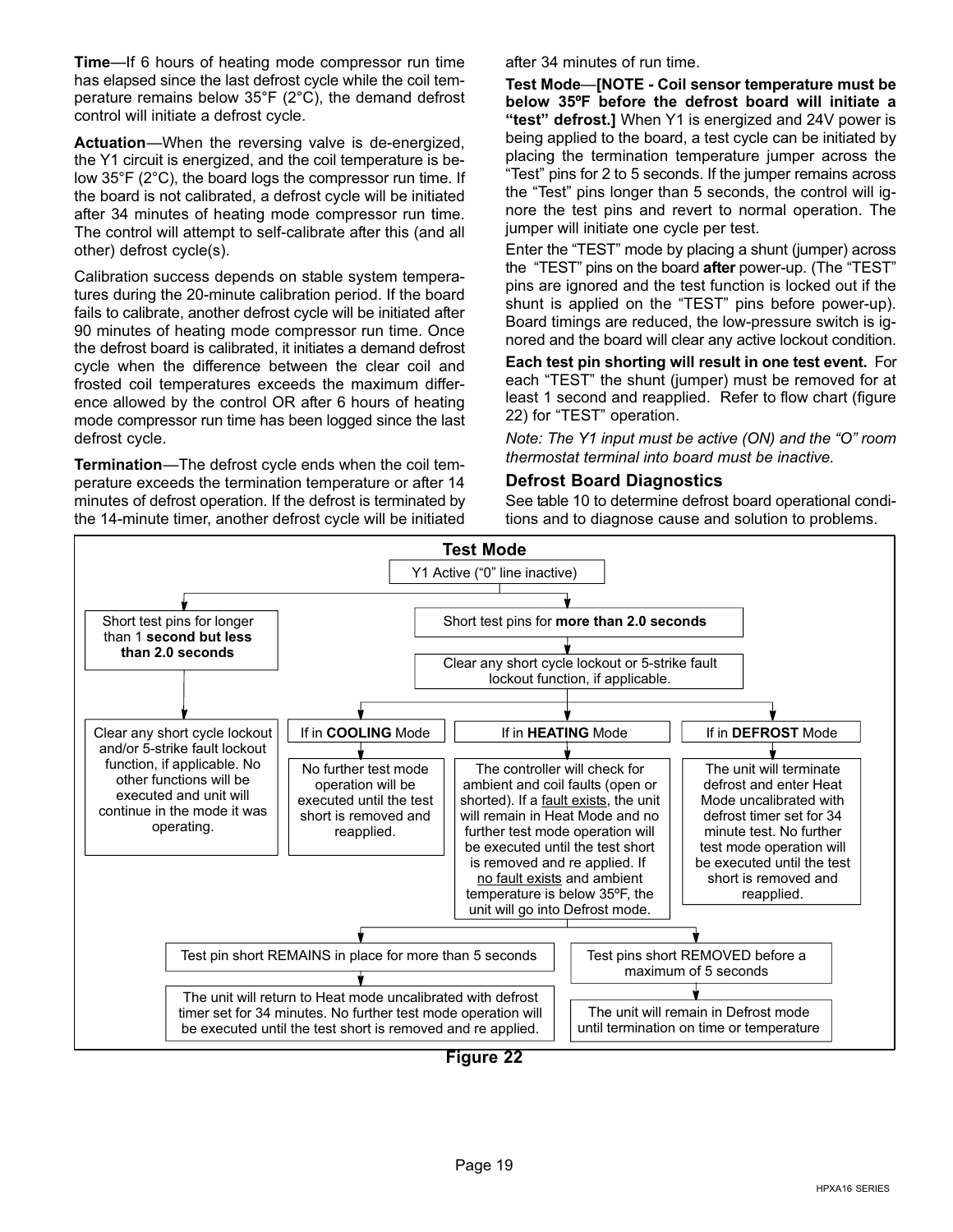**Time**—If 6 hours of heating mode compressor run time has elapsed since the last defrost cycle while the coil temperature remains below 35°F (2°C), the demand defrost control will initiate a defrost cycle.

Actuation—When the reversing valve is de-energized, the Y1 circuit is energized, and the coil temperature is below 35°F (2°C), the board logs the compressor run time. If the board is not calibrated, a defrost cycle will be initiated after 34 minutes of heating mode compressor run time. The control will attempt to self−calibrate after this (and all other) defrost cycle(s).

Calibration success depends on stable system temperatures during the 20−minute calibration period. If the board fails to calibrate, another defrost cycle will be initiated after 90 minutes of heating mode compressor run time. Once the defrost board is calibrated, it initiates a demand defrost cycle when the difference between the clear coil and frosted coil temperatures exceeds the maximum difference allowed by the control OR after 6 hours of heating mode compressor run time has been logged since the last defrost cycle.

Termination-The defrost cycle ends when the coil temperature exceeds the termination temperature or after 14 minutes of defrost operation. If the defrost is terminated by the 14−minute timer, another defrost cycle will be initiated after 34 minutes of run time.

Test Mode—[NOTE - Coil sensor temperature must be below 35ºF before the defrost board will initiate a "test" defrost.] When Y1 is energized and 24V power is being applied to the board, a test cycle can be initiated by placing the termination temperature jumper across the -Test" pins for 2 to 5 seconds. If the jumper remains across the "Test" pins longer than 5 seconds, the control will ignore the test pins and revert to normal operation. The jumper will initiate one cycle per test.

Enter the "TEST" mode by placing a shunt (jumper) across the "TEST" pins on the board **after** power-up. (The "TEST" pins are ignored and the test function is locked out if the shunt is applied on the "TEST" pins before power-up). Board timings are reduced, the low−pressure switch is ignored and the board will clear any active lockout condition.

Each test pin shorting will result in one test event. For each "TEST" the shunt (jumper) must be removed for at least 1 second and reapplied. Refer to flow chart (figure 22) for "TEST" operation.

Note: The Y1 input must be active (ON) and the "O" room thermostat terminal into board must be inactive.

#### Defrost Board Diagnostics

See table [10](#page-19-0) to determine defrost board operational conditions and to diagnose cause and solution to problems.

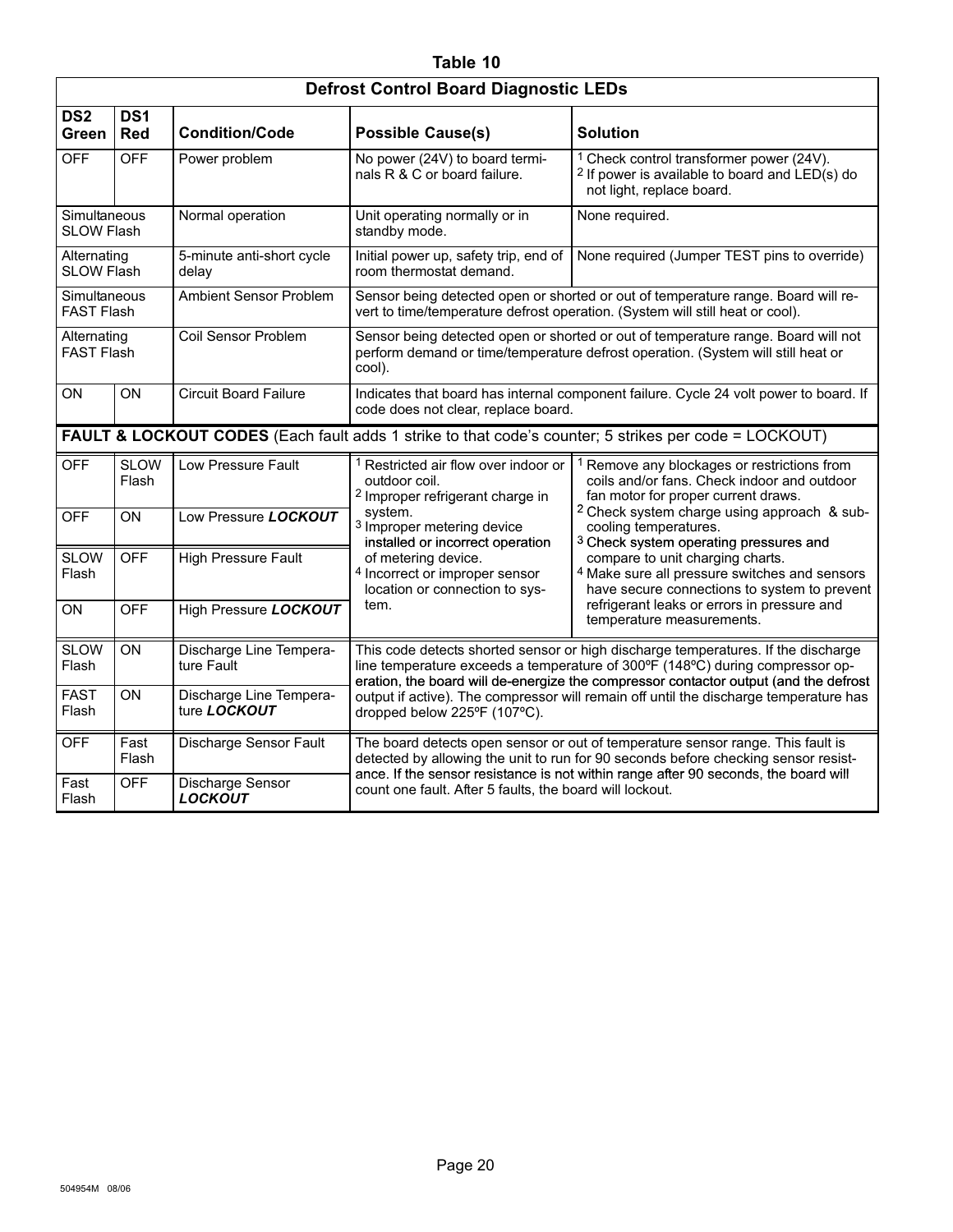### Table 10

<span id="page-19-0"></span>

| <b>Defrost Control Board Diagnostic LEDs</b>                                                          |                                                  |                                         |                                                                                                                                                                                                                                                                                                                                                                                     |                                                                                                                                                                                                                                                                                                                                                                  |  |  |  |  |
|-------------------------------------------------------------------------------------------------------|--------------------------------------------------|-----------------------------------------|-------------------------------------------------------------------------------------------------------------------------------------------------------------------------------------------------------------------------------------------------------------------------------------------------------------------------------------------------------------------------------------|------------------------------------------------------------------------------------------------------------------------------------------------------------------------------------------------------------------------------------------------------------------------------------------------------------------------------------------------------------------|--|--|--|--|
| DS <sub>2</sub><br>Green                                                                              | DS <sub>1</sub><br><b>Red</b>                    | <b>Condition/Code</b>                   | <b>Possible Cause(s)</b>                                                                                                                                                                                                                                                                                                                                                            | <b>Solution</b>                                                                                                                                                                                                                                                                                                                                                  |  |  |  |  |
| <b>OFF</b>                                                                                            | <b>OFF</b>                                       | Power problem                           | No power (24V) to board termi-<br>nals R & C or board failure.                                                                                                                                                                                                                                                                                                                      | <sup>1</sup> Check control transformer power (24V).<br><sup>2</sup> If power is available to board and LED(s) do<br>not light, replace board.                                                                                                                                                                                                                    |  |  |  |  |
| Simultaneous<br><b>SLOW Flash</b>                                                                     |                                                  | Normal operation                        | Unit operating normally or in<br>standby mode.                                                                                                                                                                                                                                                                                                                                      | None required.                                                                                                                                                                                                                                                                                                                                                   |  |  |  |  |
| Alternating<br><b>SLOW Flash</b>                                                                      |                                                  | 5-minute anti-short cycle<br>delay      | Initial power up, safety trip, end of<br>room thermostat demand.                                                                                                                                                                                                                                                                                                                    | None required (Jumper TEST pins to override)                                                                                                                                                                                                                                                                                                                     |  |  |  |  |
| Simultaneous<br><b>FAST Flash</b>                                                                     |                                                  | <b>Ambient Sensor Problem</b>           | Sensor being detected open or shorted or out of temperature range. Board will re-<br>vert to time/temperature defrost operation. (System will still heat or cool).                                                                                                                                                                                                                  |                                                                                                                                                                                                                                                                                                                                                                  |  |  |  |  |
| Alternating<br><b>FAST Flash</b>                                                                      |                                                  | Coil Sensor Problem                     | Sensor being detected open or shorted or out of temperature range. Board will not<br>perform demand or time/temperature defrost operation. (System will still heat or<br>cool).                                                                                                                                                                                                     |                                                                                                                                                                                                                                                                                                                                                                  |  |  |  |  |
| ON                                                                                                    | ON                                               | <b>Circuit Board Failure</b>            | Indicates that board has internal component failure. Cycle 24 volt power to board. If<br>code does not clear, replace board.                                                                                                                                                                                                                                                        |                                                                                                                                                                                                                                                                                                                                                                  |  |  |  |  |
| FAULT & LOCKOUT CODES (Each fault adds 1 strike to that code's counter; 5 strikes per code = LOCKOUT) |                                                  |                                         |                                                                                                                                                                                                                                                                                                                                                                                     |                                                                                                                                                                                                                                                                                                                                                                  |  |  |  |  |
| <b>OFF</b>                                                                                            | <b>SLOW</b><br>Flash                             | Low Pressure Fault                      | <sup>1</sup> Restricted air flow over indoor or<br>outdoor coil.<br><sup>2</sup> Improper refrigerant charge in                                                                                                                                                                                                                                                                     | Remove any blockages or restrictions from<br>coils and/or fans. Check indoor and outdoor<br>fan motor for proper current draws.                                                                                                                                                                                                                                  |  |  |  |  |
| <b>OFF</b>                                                                                            | ON                                               | Low Pressure LOCKOUT                    | system.<br><sup>3</sup> Improper metering device<br>installed or incorrect operation                                                                                                                                                                                                                                                                                                | <sup>2</sup> Check system charge using approach & sub-<br>cooling temperatures.<br><sup>3</sup> Check system operating pressures and<br>compare to unit charging charts.<br><sup>4</sup> Make sure all pressure switches and sensors<br>have secure connections to system to prevent<br>refrigerant leaks or errors in pressure and<br>temperature measurements. |  |  |  |  |
| <b>SLOW</b><br>Flash                                                                                  | <b>OFF</b>                                       | <b>High Pressure Fault</b>              | of metering device.<br>4 Incorrect or improper sensor<br>location or connection to sys-                                                                                                                                                                                                                                                                                             |                                                                                                                                                                                                                                                                                                                                                                  |  |  |  |  |
| <b>ON</b>                                                                                             | <b>OFF</b>                                       | High Pressure LOCKOUT                   | tem.                                                                                                                                                                                                                                                                                                                                                                                |                                                                                                                                                                                                                                                                                                                                                                  |  |  |  |  |
| <b>SLOW</b><br>Flash                                                                                  | ON                                               | Discharge Line Tempera-<br>ture Fault   | This code detects shorted sensor or high discharge temperatures. If the discharge<br>line temperature exceeds a temperature of 300°F (148°C) during compressor op-<br>eration, the board will de-energize the compressor contactor output (and the defrost<br>output if active). The compressor will remain off until the discharge temperature has<br>dropped below 225°F (107°C). |                                                                                                                                                                                                                                                                                                                                                                  |  |  |  |  |
| <b>FAST</b><br>Flash                                                                                  | ON                                               | Discharge Line Tempera-<br>ture LOCKOUT |                                                                                                                                                                                                                                                                                                                                                                                     |                                                                                                                                                                                                                                                                                                                                                                  |  |  |  |  |
| <b>OFF</b>                                                                                            | Fast<br>Flash                                    | Discharge Sensor Fault                  | The board detects open sensor or out of temperature sensor range. This fault is<br>detected by allowing the unit to run for 90 seconds before checking sensor resist-                                                                                                                                                                                                               |                                                                                                                                                                                                                                                                                                                                                                  |  |  |  |  |
| Fast<br>Flash                                                                                         | <b>OFF</b><br>Discharge Sensor<br><b>LOCKOUT</b> |                                         | ance. If the sensor resistance is not within range after 90 seconds, the board will<br>count one fault. After 5 faults, the board will lockout.                                                                                                                                                                                                                                     |                                                                                                                                                                                                                                                                                                                                                                  |  |  |  |  |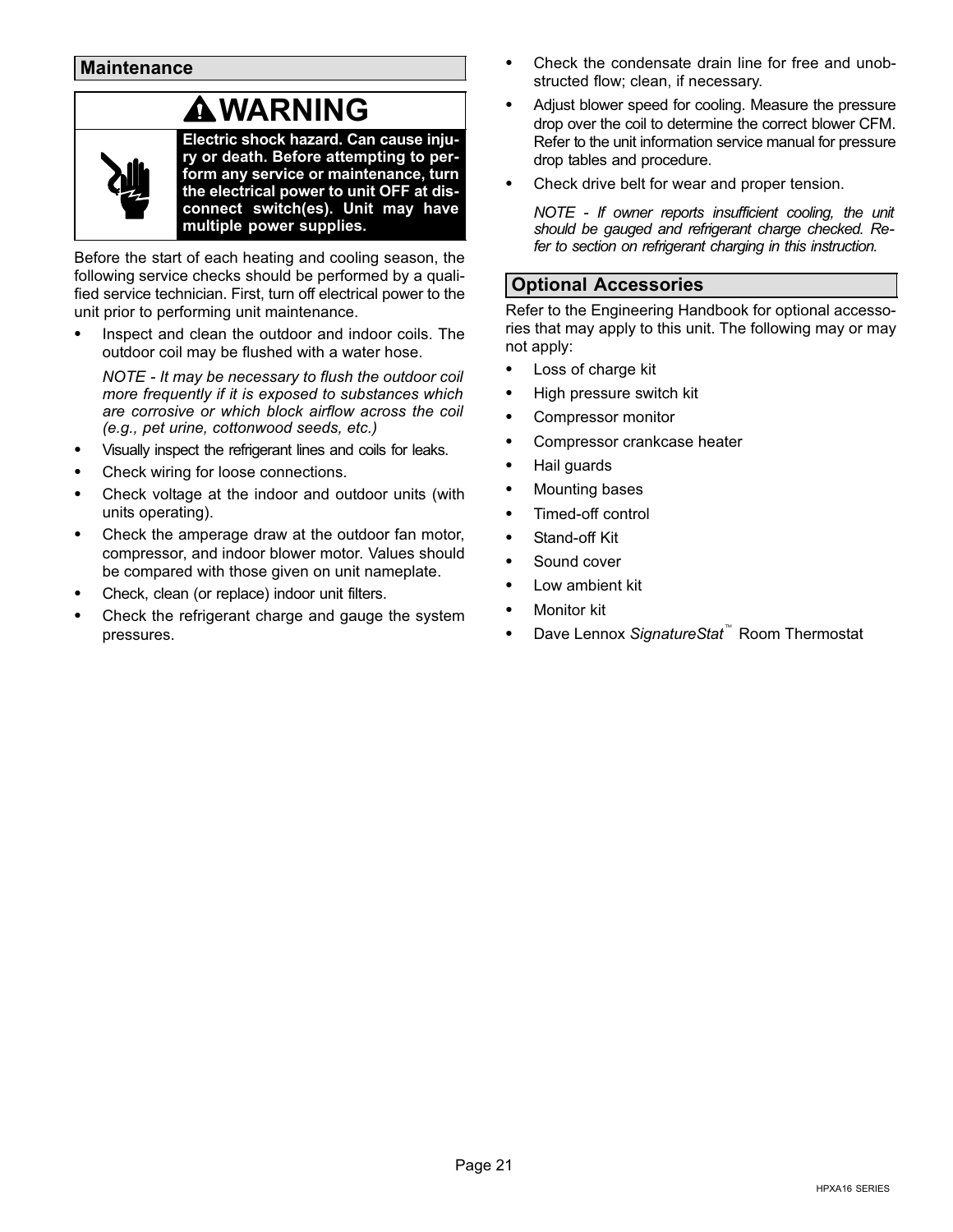### WARNING

<span id="page-20-0"></span>

Electric shock hazard. Can cause injury or death. Before attempting to perform any service or maintenance, turn the electrical power to unit OFF at disconnect switch(es). Unit may have multiple power supplies.

Before the start of each heating and cooling season, the following service checks should be performed by a qualified service technician. First, turn off electrical power to the unit prior to performing unit maintenance.

 Inspect and clean the outdoor and indoor coils. The outdoor coil may be flushed with a water hose.

NOTE − It may be necessary to flush the outdoor coil more frequently if it is exposed to substances which are corrosive or which block airflow across the coil (e.g., pet urine, cottonwood seeds, etc.)

- Visually inspect the refrigerant lines and coils for leaks.
- Check wiring for loose connections.
- Check voltage at the indoor and outdoor units (with units operating).
- Check the amperage draw at the outdoor fan motor, compressor, and indoor blower motor. Values should be compared with those given on unit nameplate.
- Check, clean (or replace) indoor unit filters.
- Check the refrigerant charge and gauge the system pressures.
- Check the condensate drain line for free and unobstructed flow; clean, if necessary.
- Adjust blower speed for cooling. Measure the pressure drop over the coil to determine the correct blower CFM. Refer to the unit information service manual for pressure drop tables and procedure.
- Check drive belt for wear and proper tension.

NOTE − If owner reports insufficient cooling, the unit should be gauged and refrigerant charge checked. Refer to section on refrigerant charging in this instruction.

### Optional Accessories

Refer to the Engineering Handbook for optional accessories that may apply to this unit. The following may or may not apply:

- Loss of charge kit
- High pressure switch kit
- Compressor monitor
- Compressor crankcase heater
- Hail guards
- Mounting bases
- Timed-off control
- Stand−off Kit
- Sound cover
- Low ambient kit
- Monitor kit
- Dave Lennox SignatureStat<sup>™</sup> Room Thermostat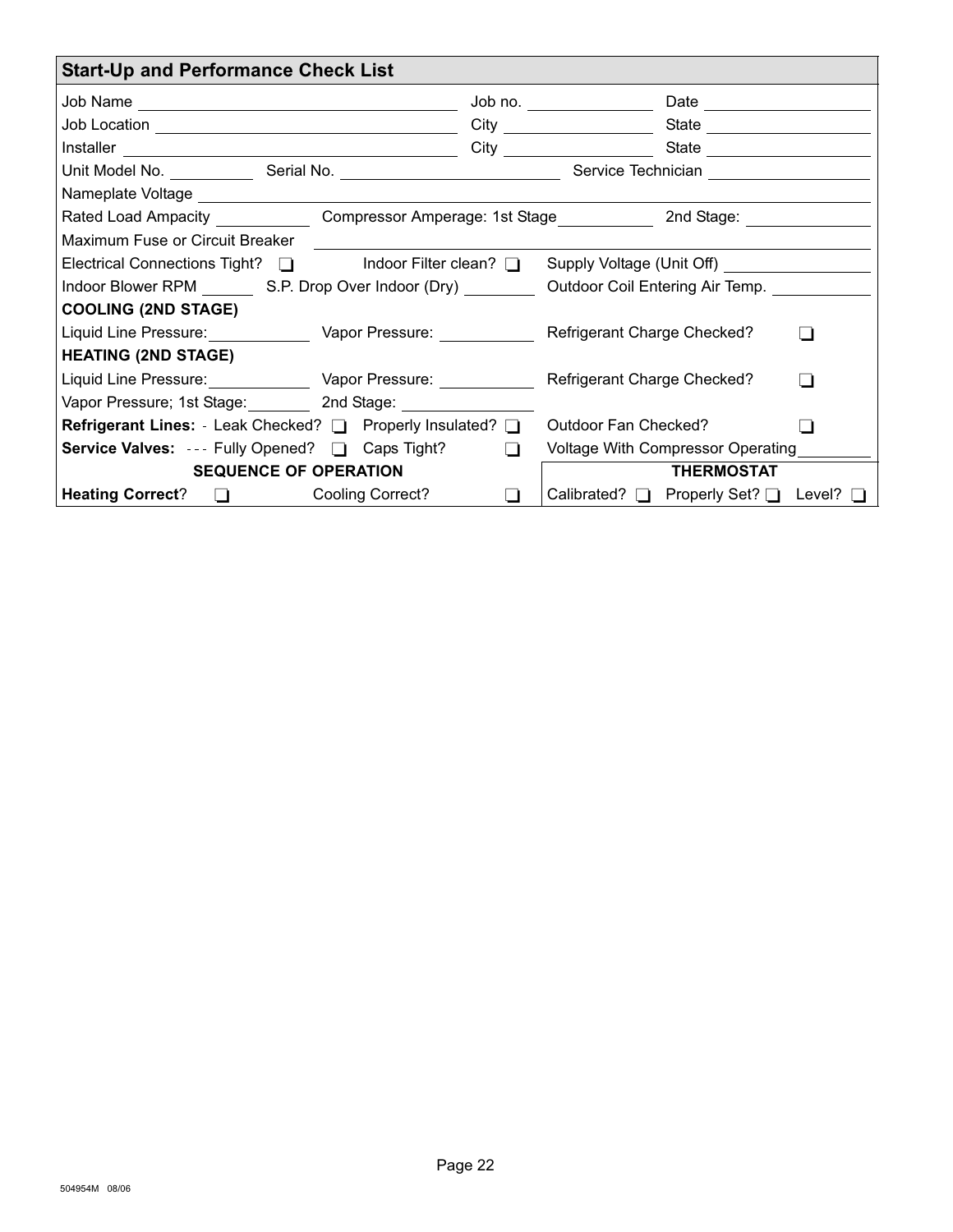<span id="page-21-0"></span>

| <b>Start-Up and Performance Check List</b>                                                                 |                |  |                                    |                                                |  |  |  |  |
|------------------------------------------------------------------------------------------------------------|----------------|--|------------------------------------|------------------------------------------------|--|--|--|--|
|                                                                                                            | Job no. $\_\_$ |  |                                    |                                                |  |  |  |  |
|                                                                                                            |                |  |                                    |                                                |  |  |  |  |
|                                                                                                            |                |  |                                    |                                                |  |  |  |  |
| Unit Model No. _____________Serial No. _________________________________Service Technician _______________ |                |  |                                    |                                                |  |  |  |  |
|                                                                                                            |                |  |                                    |                                                |  |  |  |  |
| Rated Load Ampacity ______________Compressor Amperage: 1st Stage _____________2nd Stage: ___________       |                |  |                                    |                                                |  |  |  |  |
| Maximum Fuse or Circuit Breaker                                                                            |                |  |                                    |                                                |  |  |  |  |
| Electrical Connections Tight? □ Indoor Filter clean? □ Supply Voltage (Unit Off) ___________               |                |  |                                    |                                                |  |  |  |  |
| Indoor Blower RPM S.P. Drop Over Indoor (Dry) Cutdoor Coil Entering Air Temp.                              |                |  |                                    |                                                |  |  |  |  |
| <b>COOLING (2ND STAGE)</b>                                                                                 |                |  |                                    |                                                |  |  |  |  |
| Liquid Line Pressure: Vapor Pressure: Vance Containers                                                     |                |  | <b>Refrigerant Charge Checked?</b> |                                                |  |  |  |  |
| <b>HEATING (2ND STAGE)</b>                                                                                 |                |  |                                    |                                                |  |  |  |  |
| Liquid Line Pressure: Vapor Pressure: Netwitter and Refrigerant Charge Checked?                            |                |  |                                    |                                                |  |  |  |  |
| Vapor Pressure; 1st Stage: 2nd Stage: 2010 Stage: 2020                                                     |                |  |                                    |                                                |  |  |  |  |
| <b>Refrigerant Lines:</b> - Leak Checked? □ Properly Insulated? □ Outdoor Fan Checked?                     |                |  |                                    |                                                |  |  |  |  |
| <b>Service Valves:</b> --- Fully Opened? □ Caps Tight? □                                                   |                |  | Voltage With Compressor Operating  |                                                |  |  |  |  |
| <b>SEQUENCE OF OPERATION</b>                                                                               |                |  | <b>THERMOSTAT</b>                  |                                                |  |  |  |  |
| Heating Correct? □ Cooling Correct?                                                                        |                |  |                                    | Calibrated? $\Box$ Properly Set? $\Box$ Level? |  |  |  |  |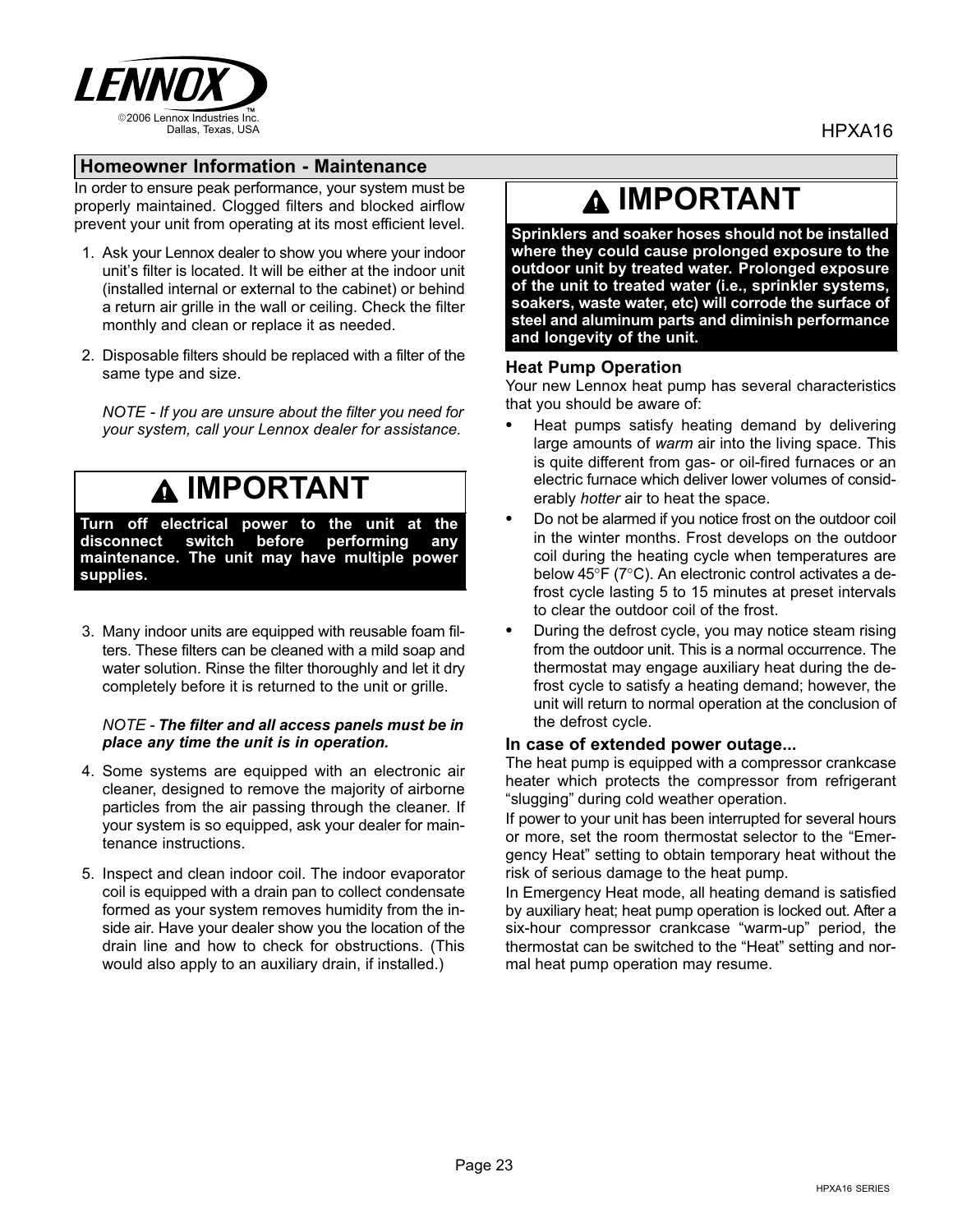<span id="page-22-0"></span>

### Homeowner Information − Maintenance

In order to ensure peak performance, your system must be properly maintained. Clogged filters and blocked airflow prevent your unit from operating at its most efficient level.

- 1. Ask your Lennox dealer to show you where your indoor unit's filter is located. It will be either at the indoor unit (installed internal or external to the cabinet) or behind a return air grille in the wall or ceiling. Check the filter monthly and clean or replace it as needed.
- 2. Disposable filters should be replaced with a filter of the same type and size.

NOTE − If you are unsure about the filter you need for your system, call your Lennox dealer for assistance.

### $\bf A$  IMPORTANT

Turn off electrical power to the unit at the disconnect switch before performing any maintenance. The unit may have multiple power supplies.

3. Many indoor units are equipped with reusable foam filters. These filters can be cleaned with a mild soap and water solution. Rinse the filter thoroughly and let it dry completely before it is returned to the unit or grille.

#### NOTE − The filter and all access panels must be in place any time the unit is in operation.

- 4. Some systems are equipped with an electronic air cleaner, designed to remove the majority of airborne particles from the air passing through the cleaner. If your system is so equipped, ask your dealer for maintenance instructions.
- 5. Inspect and clean indoor coil. The indoor evaporator coil is equipped with a drain pan to collect condensate formed as your system removes humidity from the inside air. Have your dealer show you the location of the drain line and how to check for obstructions. (This would also apply to an auxiliary drain, if installed.)

### IMPORTANT

Sprinklers and soaker hoses should not be installed where they could cause prolonged exposure to the outdoor unit by treated water. Prolonged exposure of the unit to treated water (i.e., sprinkler systems, soakers, waste water, etc) will corrode the surface of steel and aluminum parts and diminish performance and longevity of the unit.

#### Heat Pump Operation

Your new Lennox heat pump has several characteristics that you should be aware of:

- Heat pumps satisfy heating demand by delivering large amounts of warm air into the living space. This is quite different from gas- or oil-fired furnaces or an electric furnace which deliver lower volumes of considerably hotter air to heat the space.
- Do not be alarmed if you notice frost on the outdoor coil in the winter months. Frost develops on the outdoor coil during the heating cycle when temperatures are below 45°F (7°C). An electronic control activates a defrost cycle lasting 5 to 15 minutes at preset intervals to clear the outdoor coil of the frost.
- During the defrost cycle, you may notice steam rising from the outdoor unit. This is a normal occurrence. The thermostat may engage auxiliary heat during the defrost cycle to satisfy a heating demand; however, the unit will return to normal operation at the conclusion of the defrost cycle.

#### In case of extended power outage...

The heat pump is equipped with a compressor crankcase heater which protects the compressor from refrigerant -slugging" during cold weather operation.

If power to your unit has been interrupted for several hours or more, set the room thermostat selector to the "Emergency Heat" setting to obtain temporary heat without the risk of serious damage to the heat pump.

In Emergency Heat mode, all heating demand is satisfied by auxiliary heat; heat pump operation is locked out. After a six-hour compressor crankcase "warm-up" period, the thermostat can be switched to the "Heat" setting and normal heat pump operation may resume.